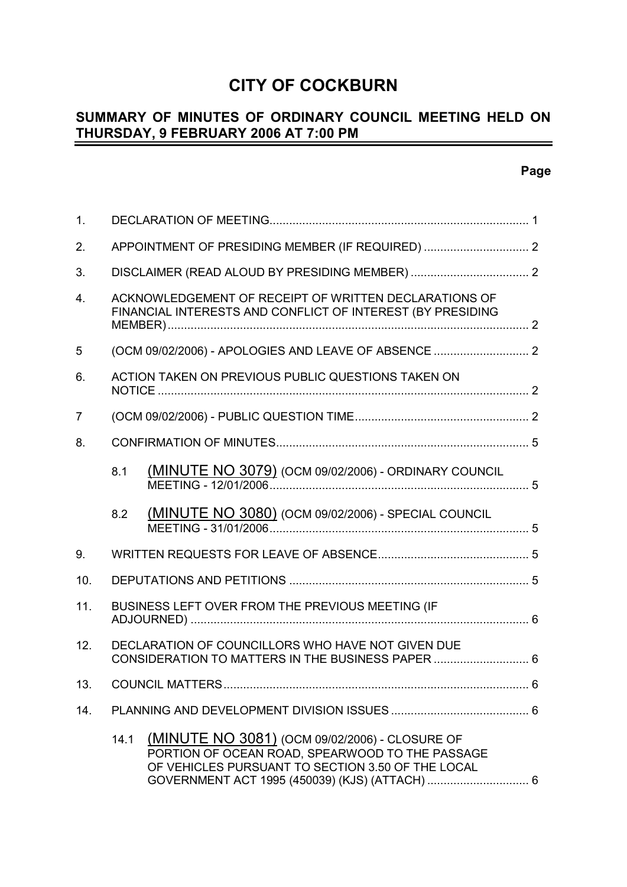# **CITY OF COCKBURN**

# **SUMMARY OF MINUTES OF ORDINARY COUNCIL MEETING HELD ON THURSDAY, 9 FEBRUARY 2006 AT 7:00 PM**

# **Page**

| 1.  |      |                                                                                                                                                                                                          |   |
|-----|------|----------------------------------------------------------------------------------------------------------------------------------------------------------------------------------------------------------|---|
| 2.  |      |                                                                                                                                                                                                          |   |
| 3.  |      |                                                                                                                                                                                                          |   |
| 4.  |      | ACKNOWLEDGEMENT OF RECEIPT OF WRITTEN DECLARATIONS OF<br>FINANCIAL INTERESTS AND CONFLICT OF INTEREST (BY PRESIDING                                                                                      |   |
| 5   |      |                                                                                                                                                                                                          |   |
| 6.  |      | ACTION TAKEN ON PREVIOUS PUBLIC QUESTIONS TAKEN ON                                                                                                                                                       |   |
| 7   |      |                                                                                                                                                                                                          |   |
| 8.  |      |                                                                                                                                                                                                          |   |
|     | 8.1  | (MINUTE NO 3079) (OCM 09/02/2006) - ORDINARY COUNCIL                                                                                                                                                     |   |
|     | 8.2  | (MINUTE NO 3080) (OCM 09/02/2006) - SPECIAL COUNCIL                                                                                                                                                      |   |
| 9.  |      |                                                                                                                                                                                                          |   |
| 10. |      |                                                                                                                                                                                                          |   |
| 11. |      | BUSINESS LEFT OVER FROM THE PREVIOUS MEETING (IF                                                                                                                                                         |   |
| 12. |      | DECLARATION OF COUNCILLORS WHO HAVE NOT GIVEN DUE<br>CONSIDERATION TO MATTERS IN THE BUSINESS PAPER  6                                                                                                   |   |
| 13. |      |                                                                                                                                                                                                          | 6 |
| 14. |      |                                                                                                                                                                                                          |   |
|     | 14.1 | (MINUTE NO 3081) (OCM 09/02/2006) - CLOSURE OF<br>PORTION OF OCEAN ROAD, SPEARWOOD TO THE PASSAGE<br>OF VEHICLES PURSUANT TO SECTION 3.50 OF THE LOCAL<br>GOVERNMENT ACT 1995 (450039) (KJS) (ATTACH)  6 |   |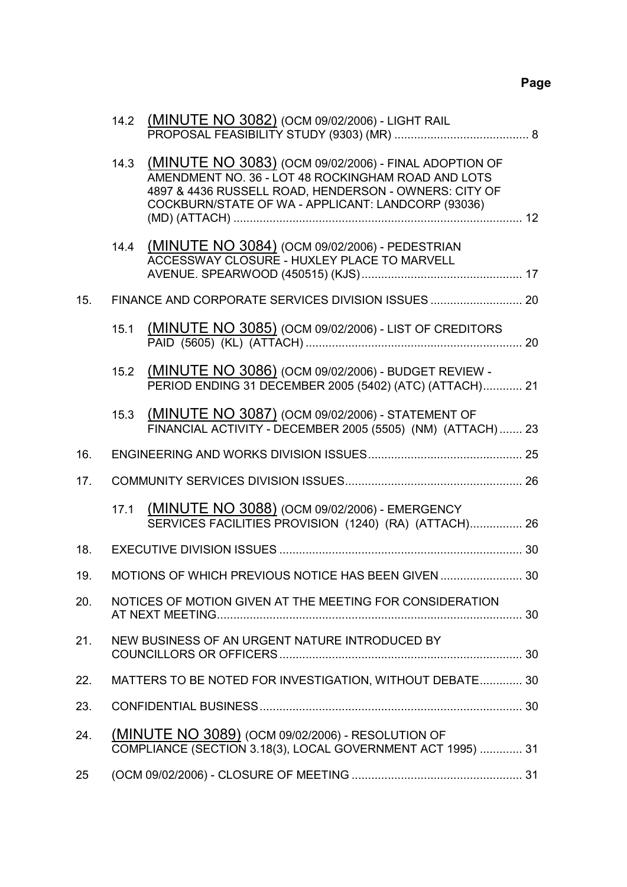|     | 14.2 | (MINUTE NO 3082) (OCM 09/02/2006) - LIGHT RAIL                                                                                                                                                                                  |  |
|-----|------|---------------------------------------------------------------------------------------------------------------------------------------------------------------------------------------------------------------------------------|--|
|     |      | 14.3 (MINUTE NO 3083) (OCM 09/02/2006) - FINAL ADOPTION OF<br>AMENDMENT NO. 36 - LOT 48 ROCKINGHAM ROAD AND LOTS<br>4897 & 4436 RUSSELL ROAD, HENDERSON - OWNERS: CITY OF<br>COCKBURN/STATE OF WA - APPLICANT: LANDCORP (93036) |  |
|     | 14.4 | (MINUTE NO 3084) (OCM 09/02/2006) - PEDESTRIAN<br>ACCESSWAY CLOSURE - HUXLEY PLACE TO MARVELL                                                                                                                                   |  |
| 15. |      |                                                                                                                                                                                                                                 |  |
|     | 15.1 | (MINUTE NO 3085) (OCM 09/02/2006) - LIST OF CREDITORS                                                                                                                                                                           |  |
|     | 15.2 | (MINUTE NO 3086) (OCM 09/02/2006) - BUDGET REVIEW -<br>PERIOD ENDING 31 DECEMBER 2005 (5402) (ATC) (ATTACH) 21                                                                                                                  |  |
|     |      | 15.3 (MINUTE NO 3087) (OCM 09/02/2006) - STATEMENT OF<br>FINANCIAL ACTIVITY - DECEMBER 2005 (5505) (NM) (ATTACH) 23                                                                                                             |  |
| 16. |      |                                                                                                                                                                                                                                 |  |
|     |      |                                                                                                                                                                                                                                 |  |
| 17. |      |                                                                                                                                                                                                                                 |  |
|     | 17.1 | (MINUTE NO 3088) (OCM 09/02/2006) - EMERGENCY<br>SERVICES FACILITIES PROVISION (1240) (RA) (ATTACH) 26                                                                                                                          |  |
| 18. |      |                                                                                                                                                                                                                                 |  |
| 19. |      | MOTIONS OF WHICH PREVIOUS NOTICE HAS BEEN GIVEN  30                                                                                                                                                                             |  |
| 20. |      | NOTICES OF MOTION GIVEN AT THE MEETING FOR CONSIDERATION                                                                                                                                                                        |  |
| 21. |      | NEW BUSINESS OF AN URGENT NATURE INTRODUCED BY                                                                                                                                                                                  |  |
| 22. |      | MATTERS TO BE NOTED FOR INVESTIGATION, WITHOUT DEBATE 30                                                                                                                                                                        |  |
| 23. |      |                                                                                                                                                                                                                                 |  |
| 24. |      | (MINUTE NO 3089) (OCM 09/02/2006) - RESOLUTION OF<br>COMPLIANCE (SECTION 3.18(3), LOCAL GOVERNMENT ACT 1995)  31                                                                                                                |  |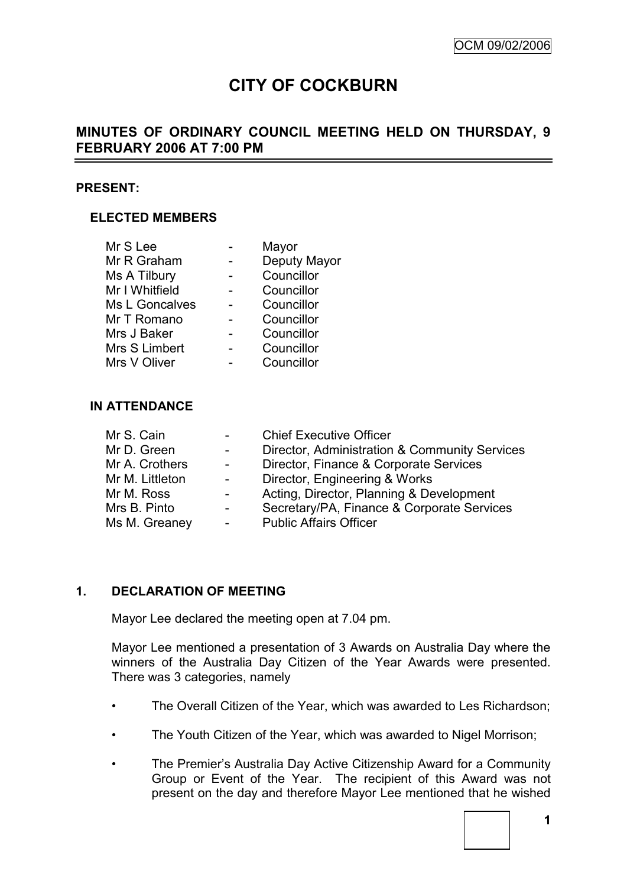# **CITY OF COCKBURN**

# **MINUTES OF ORDINARY COUNCIL MEETING HELD ON THURSDAY, 9 FEBRUARY 2006 AT 7:00 PM**

## **PRESENT:**

## **ELECTED MEMBERS**

| Mr S Lee       | Mayor        |
|----------------|--------------|
| Mr R Graham    | Deputy Mayor |
| Ms A Tilbury   | Councillor   |
| Mr I Whitfield | Councillor   |
| Ms L Goncalves | Councillor   |
| Mr T Romano    | Councillor   |
| Mrs J Baker    | Councillor   |
| Mrs S Limbert  | Councillor   |
| Mrs V Oliver   | Councillor   |
|                |              |

#### **IN ATTENDANCE**

| Mr S. Cain      | $\sim 100$      | <b>Chief Executive Officer</b>                |
|-----------------|-----------------|-----------------------------------------------|
| Mr D. Green     | $\sim 100$      | Director, Administration & Community Services |
| Mr A. Crothers  | $\sim$ 10 $\pm$ | Director, Finance & Corporate Services        |
| Mr M. Littleton | $\sim 100$      | Director, Engineering & Works                 |
| Mr M. Ross      | $\sim$ 10 $\pm$ | Acting, Director, Planning & Development      |
| Mrs B. Pinto    | $\sim 100$      | Secretary/PA, Finance & Corporate Services    |
| Ms M. Greaney   | $\sim 100$      | <b>Public Affairs Officer</b>                 |
|                 |                 |                                               |

## **1. DECLARATION OF MEETING**

Mayor Lee declared the meeting open at 7.04 pm.

Mayor Lee mentioned a presentation of 3 Awards on Australia Day where the winners of the Australia Day Citizen of the Year Awards were presented. There was 3 categories, namely

- The Overall Citizen of the Year, which was awarded to Les Richardson;
- The Youth Citizen of the Year, which was awarded to Nigel Morrison;
- The Premier"s Australia Day Active Citizenship Award for a Community Group or Event of the Year. The recipient of this Award was not present on the day and therefore Mayor Lee mentioned that he wished

**1**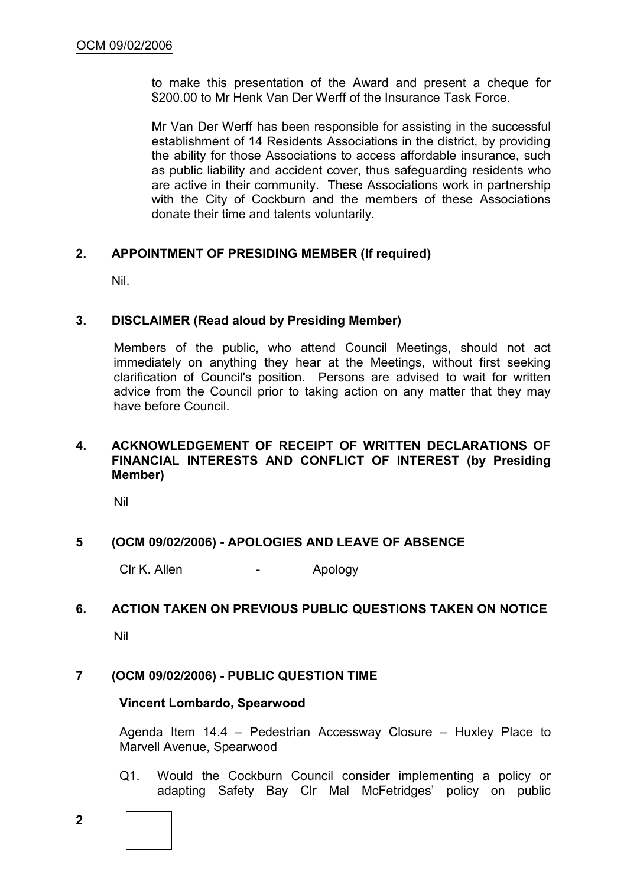to make this presentation of the Award and present a cheque for \$200.00 to Mr Henk Van Der Werff of the Insurance Task Force.

Mr Van Der Werff has been responsible for assisting in the successful establishment of 14 Residents Associations in the district, by providing the ability for those Associations to access affordable insurance, such as public liability and accident cover, thus safeguarding residents who are active in their community. These Associations work in partnership with the City of Cockburn and the members of these Associations donate their time and talents voluntarily.

## **2. APPOINTMENT OF PRESIDING MEMBER (If required)**

Nil.

## **3. DISCLAIMER (Read aloud by Presiding Member)**

Members of the public, who attend Council Meetings, should not act immediately on anything they hear at the Meetings, without first seeking clarification of Council's position. Persons are advised to wait for written advice from the Council prior to taking action on any matter that they may have before Council.

## **4. ACKNOWLEDGEMENT OF RECEIPT OF WRITTEN DECLARATIONS OF FINANCIAL INTERESTS AND CONFLICT OF INTEREST (by Presiding Member)**

Nil

## **5 (OCM 09/02/2006) - APOLOGIES AND LEAVE OF ABSENCE**

Clr K. Allen - Apology

# **6. ACTION TAKEN ON PREVIOUS PUBLIC QUESTIONS TAKEN ON NOTICE**

Nil

## **7 (OCM 09/02/2006) - PUBLIC QUESTION TIME**

#### **Vincent Lombardo, Spearwood**

Agenda Item 14.4 – Pedestrian Accessway Closure – Huxley Place to Marvell Avenue, Spearwood

- Q1. Would the Cockburn Council consider implementing a policy or adapting Safety Bay Clr Mal McFetridges" policy on public
- **2**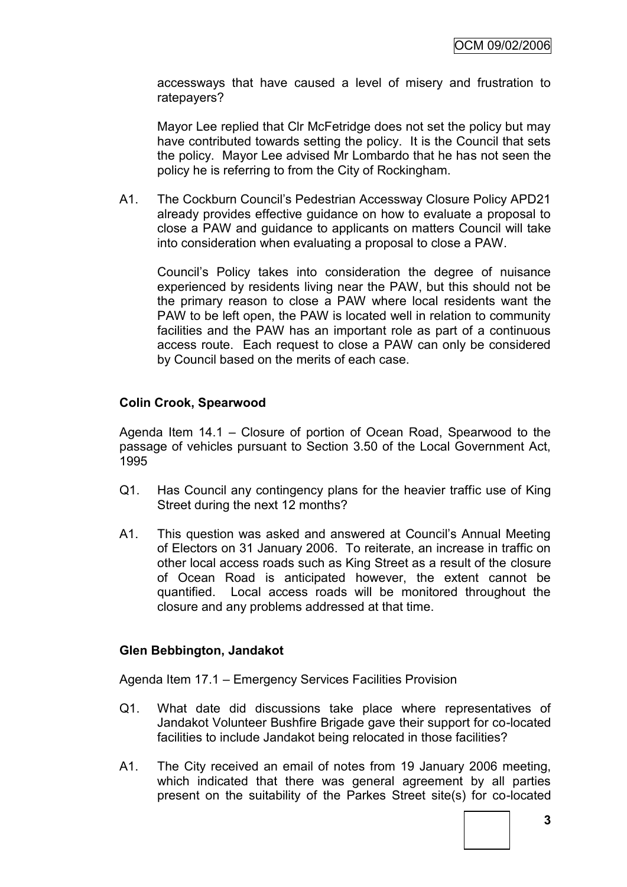accessways that have caused a level of misery and frustration to ratepayers?

Mayor Lee replied that Clr McFetridge does not set the policy but may have contributed towards setting the policy. It is the Council that sets the policy. Mayor Lee advised Mr Lombardo that he has not seen the policy he is referring to from the City of Rockingham.

A1. The Cockburn Council"s Pedestrian Accessway Closure Policy APD21 already provides effective guidance on how to evaluate a proposal to close a PAW and guidance to applicants on matters Council will take into consideration when evaluating a proposal to close a PAW.

Council"s Policy takes into consideration the degree of nuisance experienced by residents living near the PAW, but this should not be the primary reason to close a PAW where local residents want the PAW to be left open, the PAW is located well in relation to community facilities and the PAW has an important role as part of a continuous access route. Each request to close a PAW can only be considered by Council based on the merits of each case.

## **Colin Crook, Spearwood**

Agenda Item 14.1 – Closure of portion of Ocean Road, Spearwood to the passage of vehicles pursuant to Section 3.50 of the Local Government Act, 1995

- Q1. Has Council any contingency plans for the heavier traffic use of King Street during the next 12 months?
- A1. This question was asked and answered at Council"s Annual Meeting of Electors on 31 January 2006. To reiterate, an increase in traffic on other local access roads such as King Street as a result of the closure of Ocean Road is anticipated however, the extent cannot be quantified. Local access roads will be monitored throughout the closure and any problems addressed at that time.

## **Glen Bebbington, Jandakot**

Agenda Item 17.1 – Emergency Services Facilities Provision

- Q1. What date did discussions take place where representatives of Jandakot Volunteer Bushfire Brigade gave their support for co-located facilities to include Jandakot being relocated in those facilities?
- A1. The City received an email of notes from 19 January 2006 meeting, which indicated that there was general agreement by all parties present on the suitability of the Parkes Street site(s) for co-located

**3**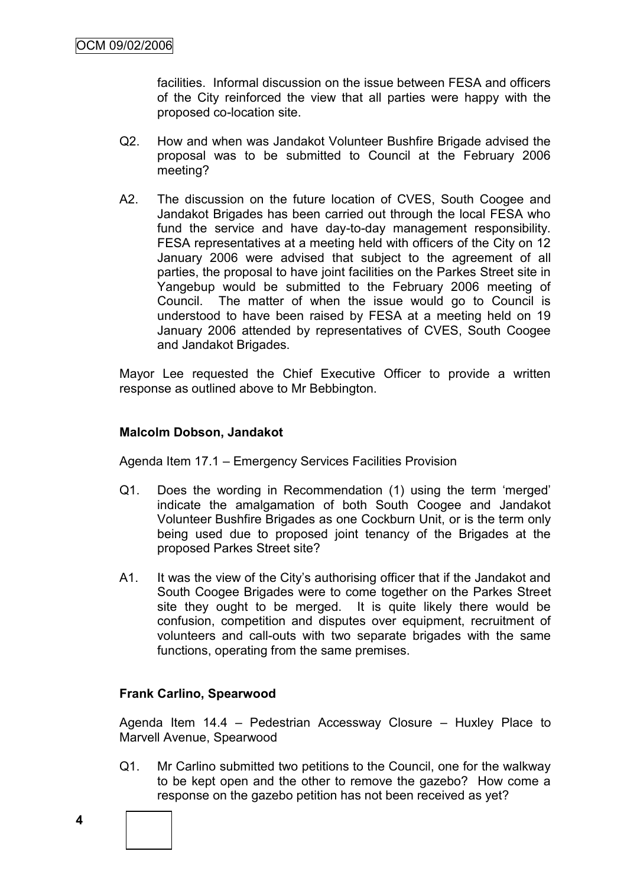facilities. Informal discussion on the issue between FESA and officers of the City reinforced the view that all parties were happy with the proposed co-location site.

- Q2. How and when was Jandakot Volunteer Bushfire Brigade advised the proposal was to be submitted to Council at the February 2006 meeting?
- A2. The discussion on the future location of CVES, South Coogee and Jandakot Brigades has been carried out through the local FESA who fund the service and have day-to-day management responsibility. FESA representatives at a meeting held with officers of the City on 12 January 2006 were advised that subject to the agreement of all parties, the proposal to have joint facilities on the Parkes Street site in Yangebup would be submitted to the February 2006 meeting of Council. The matter of when the issue would go to Council is understood to have been raised by FESA at a meeting held on 19 January 2006 attended by representatives of CVES, South Coogee and Jandakot Brigades.

Mayor Lee requested the Chief Executive Officer to provide a written response as outlined above to Mr Bebbington.

## **Malcolm Dobson, Jandakot**

Agenda Item 17.1 – Emergency Services Facilities Provision

- Q1. Does the wording in Recommendation (1) using the term "merged" indicate the amalgamation of both South Coogee and Jandakot Volunteer Bushfire Brigades as one Cockburn Unit, or is the term only being used due to proposed joint tenancy of the Brigades at the proposed Parkes Street site?
- A1. It was the view of the City"s authorising officer that if the Jandakot and South Coogee Brigades were to come together on the Parkes Street site they ought to be merged. It is quite likely there would be confusion, competition and disputes over equipment, recruitment of volunteers and call-outs with two separate brigades with the same functions, operating from the same premises.

## **Frank Carlino, Spearwood**

Agenda Item 14.4 – Pedestrian Accessway Closure – Huxley Place to Marvell Avenue, Spearwood

Q1. Mr Carlino submitted two petitions to the Council, one for the walkway to be kept open and the other to remove the gazebo? How come a response on the gazebo petition has not been received as yet?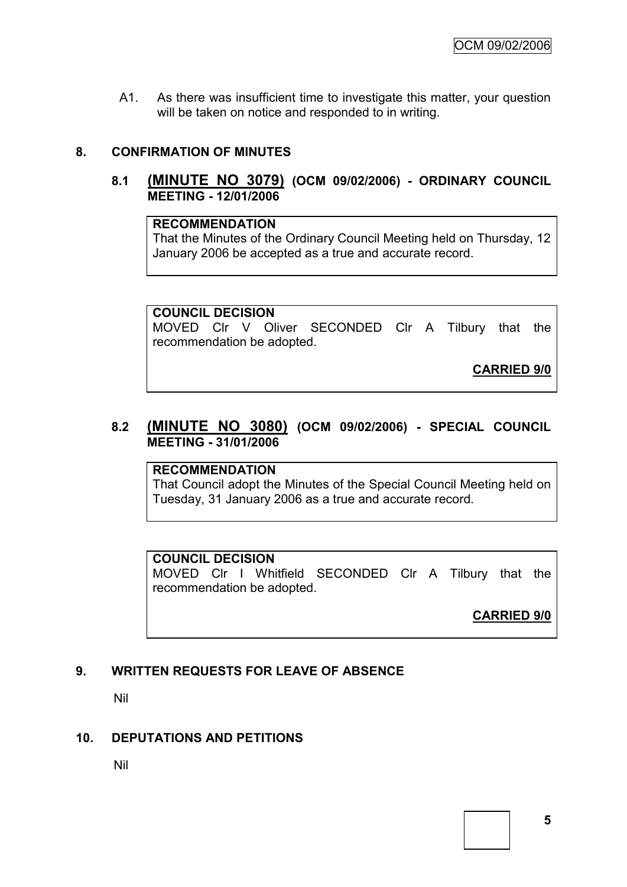A1. As there was insufficient time to investigate this matter, your question will be taken on notice and responded to in writing.

# **8. CONFIRMATION OF MINUTES**

# **8.1 (MINUTE NO 3079) (OCM 09/02/2006) - ORDINARY COUNCIL MEETING - 12/01/2006**

#### **RECOMMENDATION**

That the Minutes of the Ordinary Council Meeting held on Thursday, 12 January 2006 be accepted as a true and accurate record.

#### **COUNCIL DECISION**

MOVED Clr V Oliver SECONDED Clr A Tilbury that the recommendation be adopted.

**CARRIED 9/0**

## **8.2 (MINUTE NO 3080) (OCM 09/02/2006) - SPECIAL COUNCIL MEETING - 31/01/2006**

#### **RECOMMENDATION**

That Council adopt the Minutes of the Special Council Meeting held on Tuesday, 31 January 2006 as a true and accurate record.

#### **COUNCIL DECISION**

MOVED Clr I Whitfield SECONDED Clr A Tilbury that the recommendation be adopted.

**CARRIED 9/0**

# **9. WRITTEN REQUESTS FOR LEAVE OF ABSENCE**

Nil

#### **10. DEPUTATIONS AND PETITIONS**

Nil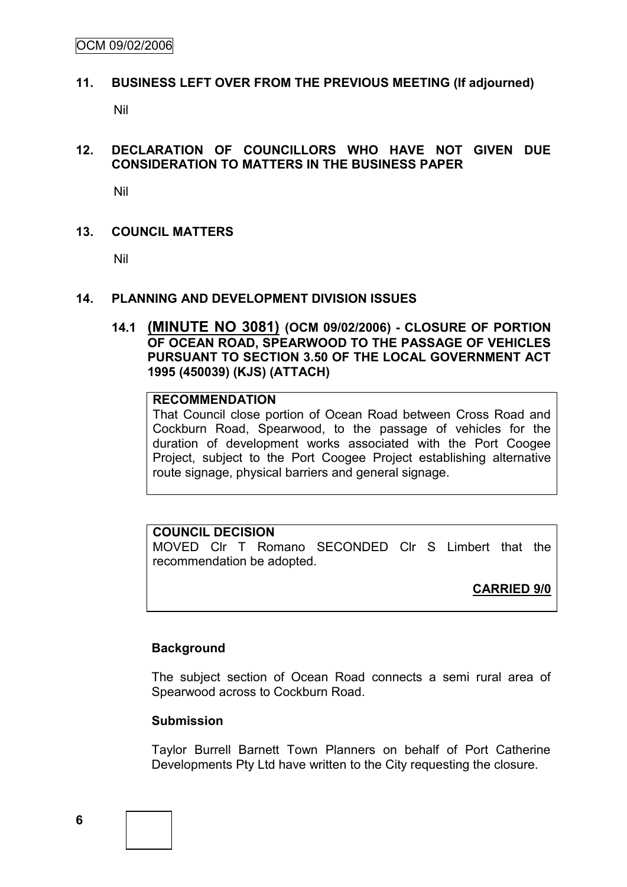#### **11. BUSINESS LEFT OVER FROM THE PREVIOUS MEETING (If adjourned)**

Nil

## **12. DECLARATION OF COUNCILLORS WHO HAVE NOT GIVEN DUE CONSIDERATION TO MATTERS IN THE BUSINESS PAPER**

Nil

## **13. COUNCIL MATTERS**

Nil

## **14. PLANNING AND DEVELOPMENT DIVISION ISSUES**

### **14.1 (MINUTE NO 3081) (OCM 09/02/2006) - CLOSURE OF PORTION OF OCEAN ROAD, SPEARWOOD TO THE PASSAGE OF VEHICLES PURSUANT TO SECTION 3.50 OF THE LOCAL GOVERNMENT ACT 1995 (450039) (KJS) (ATTACH)**

#### **RECOMMENDATION**

That Council close portion of Ocean Road between Cross Road and Cockburn Road, Spearwood, to the passage of vehicles for the duration of development works associated with the Port Coogee Project, subject to the Port Coogee Project establishing alternative route signage, physical barriers and general signage.

## **COUNCIL DECISION**

MOVED Clr T Romano SECONDED Clr S Limbert that the recommendation be adopted.

# **CARRIED 9/0**

## **Background**

The subject section of Ocean Road connects a semi rural area of Spearwood across to Cockburn Road.

## **Submission**

Taylor Burrell Barnett Town Planners on behalf of Port Catherine Developments Pty Ltd have written to the City requesting the closure.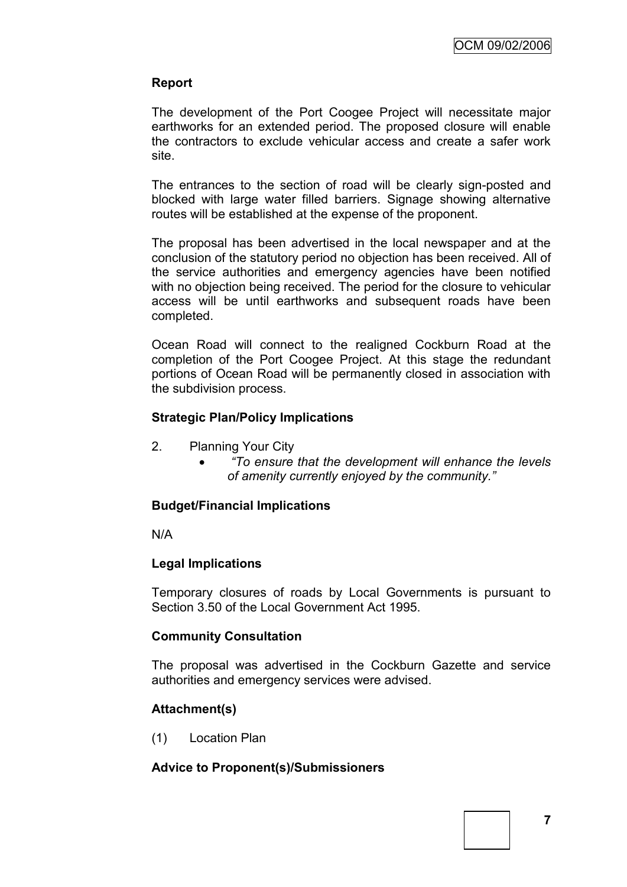## **Report**

The development of the Port Coogee Project will necessitate major earthworks for an extended period. The proposed closure will enable the contractors to exclude vehicular access and create a safer work site.

The entrances to the section of road will be clearly sign-posted and blocked with large water filled barriers. Signage showing alternative routes will be established at the expense of the proponent.

The proposal has been advertised in the local newspaper and at the conclusion of the statutory period no objection has been received. All of the service authorities and emergency agencies have been notified with no objection being received. The period for the closure to vehicular access will be until earthworks and subsequent roads have been completed.

Ocean Road will connect to the realigned Cockburn Road at the completion of the Port Coogee Project. At this stage the redundant portions of Ocean Road will be permanently closed in association with the subdivision process.

## **Strategic Plan/Policy Implications**

- 2. Planning Your City
	- *"To ensure that the development will enhance the levels of amenity currently enjoyed by the community."*

## **Budget/Financial Implications**

N/A

## **Legal Implications**

Temporary closures of roads by Local Governments is pursuant to Section 3.50 of the Local Government Act 1995.

## **Community Consultation**

The proposal was advertised in the Cockburn Gazette and service authorities and emergency services were advised.

## **Attachment(s)**

(1) Location Plan

## **Advice to Proponent(s)/Submissioners**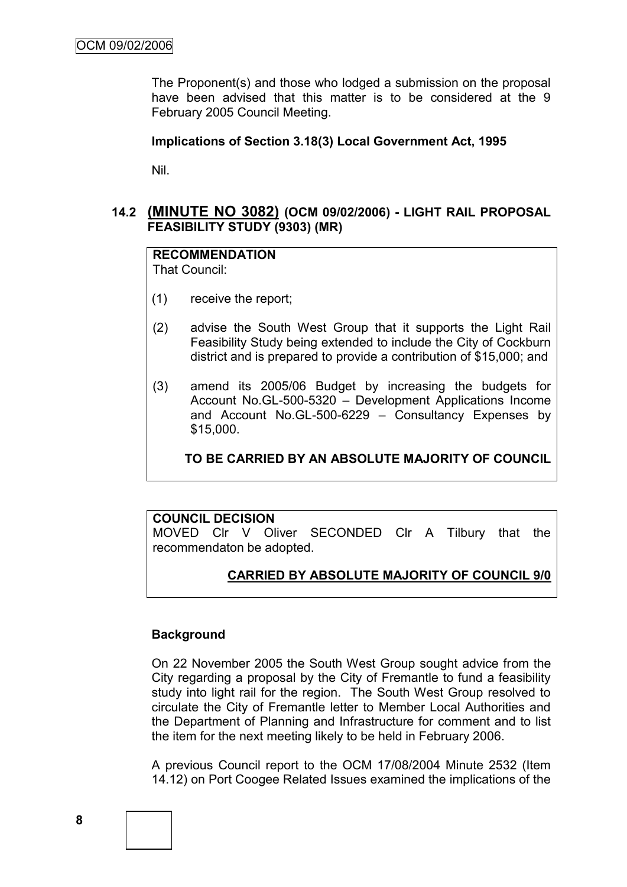The Proponent(s) and those who lodged a submission on the proposal have been advised that this matter is to be considered at the 9 February 2005 Council Meeting.

#### **Implications of Section 3.18(3) Local Government Act, 1995**

Nil.

# **14.2 (MINUTE NO 3082) (OCM 09/02/2006) - LIGHT RAIL PROPOSAL FEASIBILITY STUDY (9303) (MR)**

# **RECOMMENDATION**

That Council:

- (1) receive the report;
- (2) advise the South West Group that it supports the Light Rail Feasibility Study being extended to include the City of Cockburn district and is prepared to provide a contribution of \$15,000; and
- (3) amend its 2005/06 Budget by increasing the budgets for Account No.GL-500-5320 – Development Applications Income and Account No.GL-500-6229 – Consultancy Expenses by \$15,000.

## **TO BE CARRIED BY AN ABSOLUTE MAJORITY OF COUNCIL**

## **COUNCIL DECISION**

MOVED Clr V Oliver SECONDED Clr A Tilbury that the recommendaton be adopted.

## **CARRIED BY ABSOLUTE MAJORITY OF COUNCIL 9/0**

#### **Background**

On 22 November 2005 the South West Group sought advice from the City regarding a proposal by the City of Fremantle to fund a feasibility study into light rail for the region. The South West Group resolved to circulate the City of Fremantle letter to Member Local Authorities and the Department of Planning and Infrastructure for comment and to list the item for the next meeting likely to be held in February 2006.

A previous Council report to the OCM 17/08/2004 Minute 2532 (Item 14.12) on Port Coogee Related Issues examined the implications of the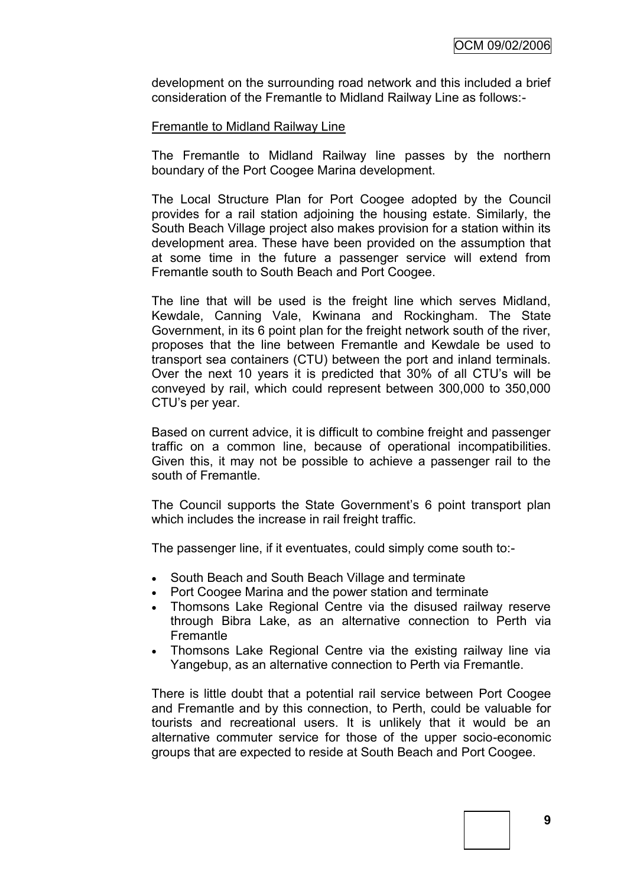development on the surrounding road network and this included a brief consideration of the Fremantle to Midland Railway Line as follows:-

#### Fremantle to Midland Railway Line

The Fremantle to Midland Railway line passes by the northern boundary of the Port Coogee Marina development.

The Local Structure Plan for Port Coogee adopted by the Council provides for a rail station adjoining the housing estate. Similarly, the South Beach Village project also makes provision for a station within its development area. These have been provided on the assumption that at some time in the future a passenger service will extend from Fremantle south to South Beach and Port Coogee.

The line that will be used is the freight line which serves Midland, Kewdale, Canning Vale, Kwinana and Rockingham. The State Government, in its 6 point plan for the freight network south of the river, proposes that the line between Fremantle and Kewdale be used to transport sea containers (CTU) between the port and inland terminals. Over the next 10 years it is predicted that 30% of all CTU"s will be conveyed by rail, which could represent between 300,000 to 350,000 CTU"s per year.

Based on current advice, it is difficult to combine freight and passenger traffic on a common line, because of operational incompatibilities. Given this, it may not be possible to achieve a passenger rail to the south of Fremantle.

The Council supports the State Government"s 6 point transport plan which includes the increase in rail freight traffic.

The passenger line, if it eventuates, could simply come south to:-

- South Beach and South Beach Village and terminate
- Port Coogee Marina and the power station and terminate
- Thomsons Lake Regional Centre via the disused railway reserve through Bibra Lake, as an alternative connection to Perth via **Fremantle**
- Thomsons Lake Regional Centre via the existing railway line via Yangebup, as an alternative connection to Perth via Fremantle.

There is little doubt that a potential rail service between Port Coogee and Fremantle and by this connection, to Perth, could be valuable for tourists and recreational users. It is unlikely that it would be an alternative commuter service for those of the upper socio-economic groups that are expected to reside at South Beach and Port Coogee.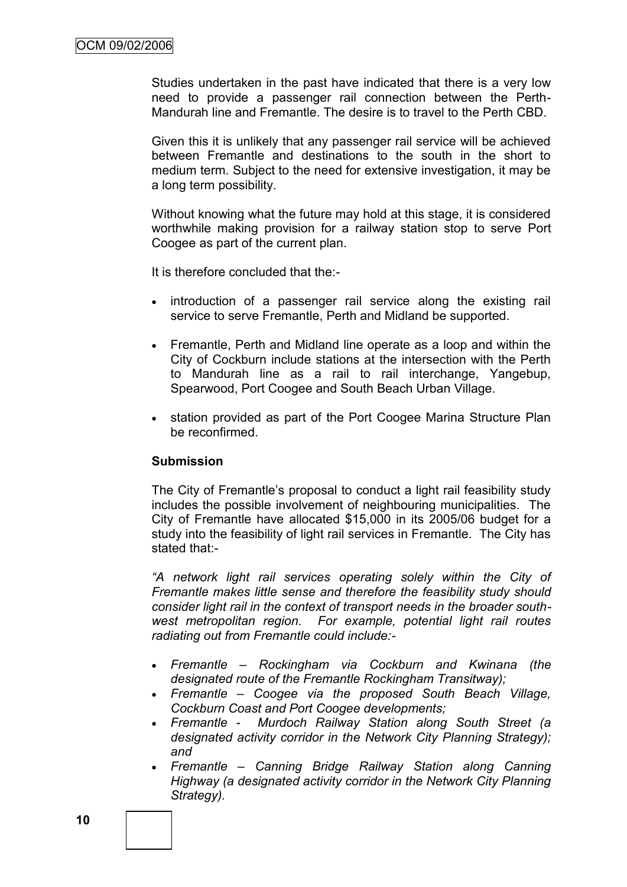Studies undertaken in the past have indicated that there is a very low need to provide a passenger rail connection between the Perth-Mandurah line and Fremantle. The desire is to travel to the Perth CBD.

Given this it is unlikely that any passenger rail service will be achieved between Fremantle and destinations to the south in the short to medium term. Subject to the need for extensive investigation, it may be a long term possibility.

Without knowing what the future may hold at this stage, it is considered worthwhile making provision for a railway station stop to serve Port Coogee as part of the current plan.

It is therefore concluded that the:-

- introduction of a passenger rail service along the existing rail service to serve Fremantle, Perth and Midland be supported.
- Fremantle, Perth and Midland line operate as a loop and within the City of Cockburn include stations at the intersection with the Perth to Mandurah line as a rail to rail interchange, Yangebup, Spearwood, Port Coogee and South Beach Urban Village.
- station provided as part of the Port Coogee Marina Structure Plan be reconfirmed.

#### **Submission**

The City of Fremantle"s proposal to conduct a light rail feasibility study includes the possible involvement of neighbouring municipalities. The City of Fremantle have allocated \$15,000 in its 2005/06 budget for a study into the feasibility of light rail services in Fremantle. The City has stated that:-

*"A network light rail services operating solely within the City of Fremantle makes little sense and therefore the feasibility study should consider light rail in the context of transport needs in the broader southwest metropolitan region. For example, potential light rail routes radiating out from Fremantle could include:-*

- *Fremantle – Rockingham via Cockburn and Kwinana (the designated route of the Fremantle Rockingham Transitway);*
- *Fremantle – Coogee via the proposed South Beach Village, Cockburn Coast and Port Coogee developments;*
- *Fremantle Murdoch Railway Station along South Street (a designated activity corridor in the Network City Planning Strategy); and*
- *Fremantle – Canning Bridge Railway Station along Canning Highway (a designated activity corridor in the Network City Planning Strategy).*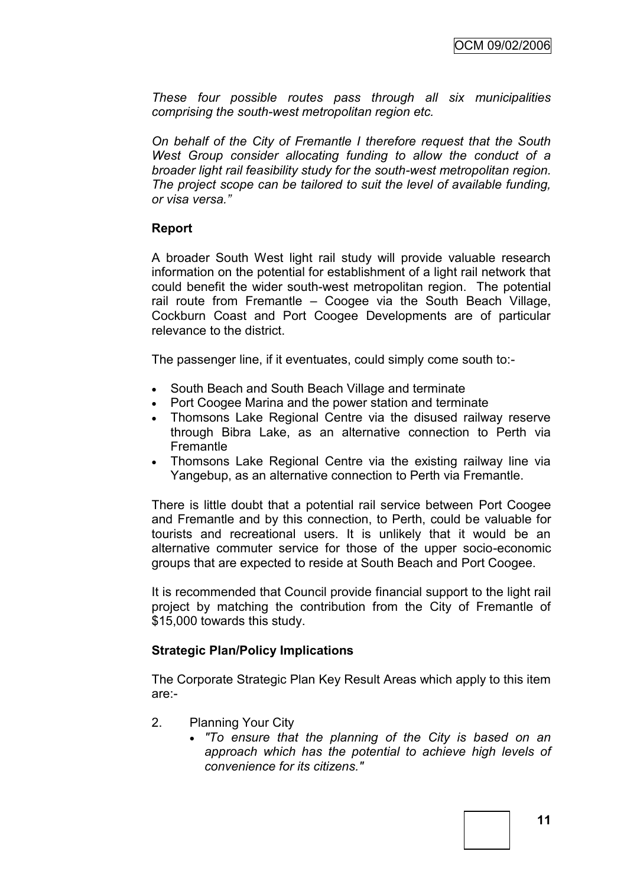*These four possible routes pass through all six municipalities comprising the south-west metropolitan region etc.*

*On behalf of the City of Fremantle I therefore request that the South West Group consider allocating funding to allow the conduct of a broader light rail feasibility study for the south-west metropolitan region. The project scope can be tailored to suit the level of available funding, or visa versa."*

## **Report**

A broader South West light rail study will provide valuable research information on the potential for establishment of a light rail network that could benefit the wider south-west metropolitan region. The potential rail route from Fremantle – Coogee via the South Beach Village, Cockburn Coast and Port Coogee Developments are of particular relevance to the district.

The passenger line, if it eventuates, could simply come south to:-

- South Beach and South Beach Village and terminate
- Port Coogee Marina and the power station and terminate
- Thomsons Lake Regional Centre via the disused railway reserve through Bibra Lake, as an alternative connection to Perth via Fremantle
- Thomsons Lake Regional Centre via the existing railway line via Yangebup, as an alternative connection to Perth via Fremantle.

There is little doubt that a potential rail service between Port Coogee and Fremantle and by this connection, to Perth, could be valuable for tourists and recreational users. It is unlikely that it would be an alternative commuter service for those of the upper socio-economic groups that are expected to reside at South Beach and Port Coogee.

It is recommended that Council provide financial support to the light rail project by matching the contribution from the City of Fremantle of \$15,000 towards this study.

## **Strategic Plan/Policy Implications**

The Corporate Strategic Plan Key Result Areas which apply to this item are:-

- 2. Planning Your City
	- *"To ensure that the planning of the City is based on an approach which has the potential to achieve high levels of convenience for its citizens."*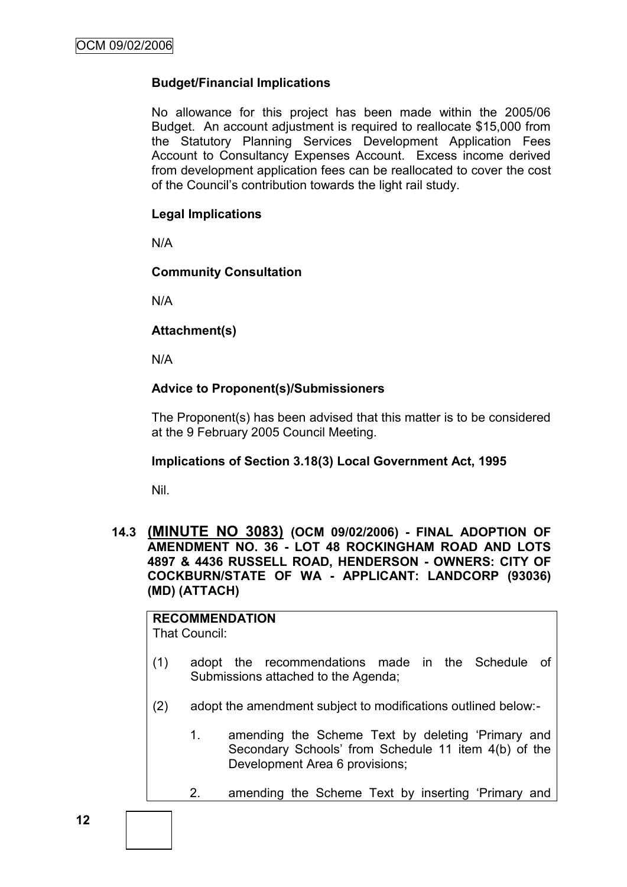## **Budget/Financial Implications**

No allowance for this project has been made within the 2005/06 Budget. An account adjustment is required to reallocate \$15,000 from the Statutory Planning Services Development Application Fees Account to Consultancy Expenses Account. Excess income derived from development application fees can be reallocated to cover the cost of the Council"s contribution towards the light rail study.

## **Legal Implications**

N/A

## **Community Consultation**

N/A

## **Attachment(s)**

N/A

## **Advice to Proponent(s)/Submissioners**

The Proponent(s) has been advised that this matter is to be considered at the 9 February 2005 Council Meeting.

## **Implications of Section 3.18(3) Local Government Act, 1995**

Nil.

## **14.3 (MINUTE NO 3083) (OCM 09/02/2006) - FINAL ADOPTION OF AMENDMENT NO. 36 - LOT 48 ROCKINGHAM ROAD AND LOTS 4897 & 4436 RUSSELL ROAD, HENDERSON - OWNERS: CITY OF COCKBURN/STATE OF WA - APPLICANT: LANDCORP (93036) (MD) (ATTACH)**

**RECOMMENDATION** That Council:

- (1) adopt the recommendations made in the Schedule of Submissions attached to the Agenda;
- (2) adopt the amendment subject to modifications outlined below:-
	- 1. amending the Scheme Text by deleting "Primary and Secondary Schools" from Schedule 11 item 4(b) of the Development Area 6 provisions;
	- 2. amending the Scheme Text by inserting "Primary and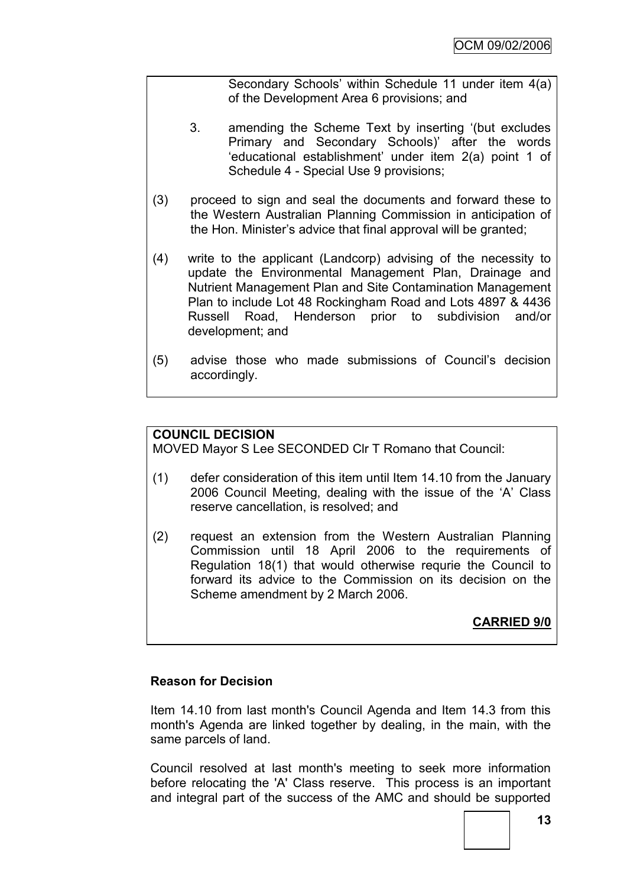Secondary Schools" within Schedule 11 under item 4(a) of the Development Area 6 provisions; and

- 3. amending the Scheme Text by inserting "(but excludes Primary and Secondary Schools)" after the words "educational establishment" under item 2(a) point 1 of Schedule 4 - Special Use 9 provisions;
- (3) proceed to sign and seal the documents and forward these to the Western Australian Planning Commission in anticipation of the Hon. Minister"s advice that final approval will be granted;
- (4) write to the applicant (Landcorp) advising of the necessity to update the Environmental Management Plan, Drainage and Nutrient Management Plan and Site Contamination Management Plan to include Lot 48 Rockingham Road and Lots 4897 & 4436 Russell Road, Henderson prior to subdivision and/or development; and
- (5) advise those who made submissions of Council"s decision accordingly.

# **COUNCIL DECISION**

MOVED Mayor S Lee SECONDED Clr T Romano that Council:

- (1) defer consideration of this item until Item 14.10 from the January 2006 Council Meeting, dealing with the issue of the "A" Class reserve cancellation, is resolved; and
- (2) request an extension from the Western Australian Planning Commission until 18 April 2006 to the requirements of Regulation 18(1) that would otherwise requrie the Council to forward its advice to the Commission on its decision on the Scheme amendment by 2 March 2006.

**CARRIED 9/0**

# **Reason for Decision**

Item 14.10 from last month's Council Agenda and Item 14.3 from this month's Agenda are linked together by dealing, in the main, with the same parcels of land.

Council resolved at last month's meeting to seek more information before relocating the 'A' Class reserve. This process is an important and integral part of the success of the AMC and should be supported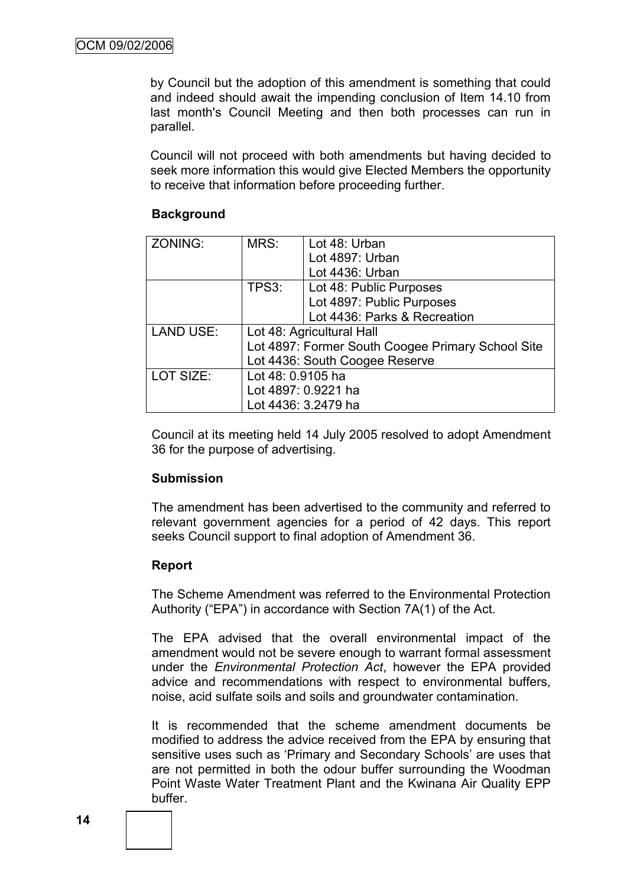by Council but the adoption of this amendment is something that could and indeed should await the impending conclusion of Item 14.10 from last month's Council Meeting and then both processes can run in parallel.

Council will not proceed with both amendments but having decided to seek more information this would give Elected Members the opportunity to receive that information before proceeding further.

## **Background**

| ZONING:          | MRS:                                              | Lot 48: Urban                  |  |
|------------------|---------------------------------------------------|--------------------------------|--|
|                  |                                                   | Lot 4897: Urban                |  |
|                  |                                                   | Lot 4436: Urban                |  |
|                  | TPS3:                                             | Lot 48: Public Purposes        |  |
|                  |                                                   | Lot 4897: Public Purposes      |  |
|                  |                                                   | Lot 4436: Parks & Recreation   |  |
| <b>LAND USE:</b> |                                                   | Lot 48: Agricultural Hall      |  |
|                  | Lot 4897: Former South Coogee Primary School Site |                                |  |
|                  |                                                   | Lot 4436: South Coogee Reserve |  |
| LOT SIZE:        | Lot 48: 0.9105 ha                                 |                                |  |
|                  |                                                   | Lot 4897: 0.9221 ha            |  |
|                  |                                                   | Lot 4436: 3.2479 ha            |  |

Council at its meeting held 14 July 2005 resolved to adopt Amendment 36 for the purpose of advertising.

## **Submission**

The amendment has been advertised to the community and referred to relevant government agencies for a period of 42 days. This report seeks Council support to final adoption of Amendment 36.

## **Report**

The Scheme Amendment was referred to the Environmental Protection Authority ("EPA") in accordance with Section 7A(1) of the Act.

The EPA advised that the overall environmental impact of the amendment would not be severe enough to warrant formal assessment under the *Environmental Protection Act*, however the EPA provided advice and recommendations with respect to environmental buffers, noise, acid sulfate soils and soils and groundwater contamination.

It is recommended that the scheme amendment documents be modified to address the advice received from the EPA by ensuring that sensitive uses such as 'Primary and Secondary Schools' are uses that are not permitted in both the odour buffer surrounding the Woodman Point Waste Water Treatment Plant and the Kwinana Air Quality EPP buffer.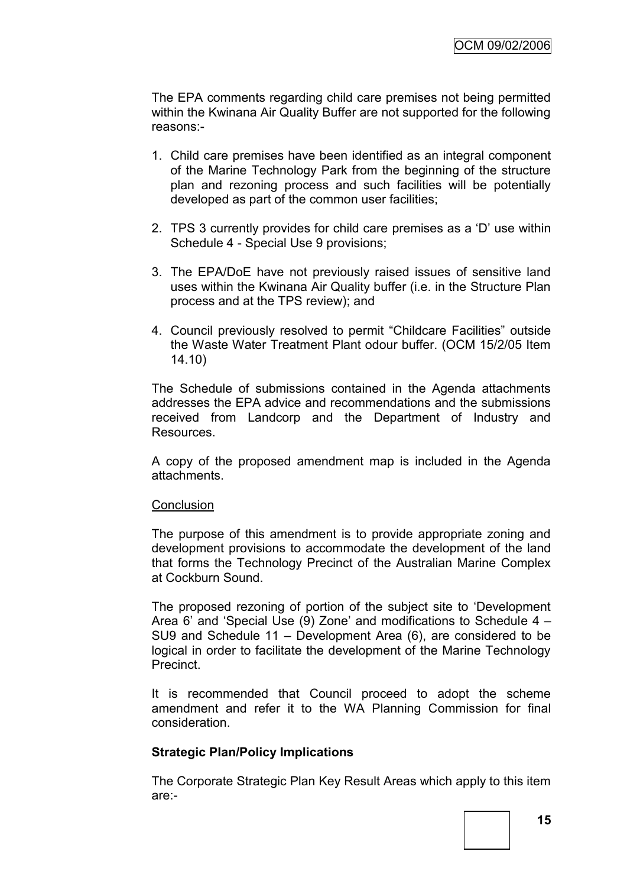The EPA comments regarding child care premises not being permitted within the Kwinana Air Quality Buffer are not supported for the following reasons:-

- 1. Child care premises have been identified as an integral component of the Marine Technology Park from the beginning of the structure plan and rezoning process and such facilities will be potentially developed as part of the common user facilities;
- 2. TPS 3 currently provides for child care premises as a "D" use within Schedule 4 - Special Use 9 provisions;
- 3. The EPA/DoE have not previously raised issues of sensitive land uses within the Kwinana Air Quality buffer (i.e. in the Structure Plan process and at the TPS review); and
- 4. Council previously resolved to permit "Childcare Facilities" outside the Waste Water Treatment Plant odour buffer. (OCM 15/2/05 Item 14.10)

The Schedule of submissions contained in the Agenda attachments addresses the EPA advice and recommendations and the submissions received from Landcorp and the Department of Industry and Resources.

A copy of the proposed amendment map is included in the Agenda attachments.

#### **Conclusion**

The purpose of this amendment is to provide appropriate zoning and development provisions to accommodate the development of the land that forms the Technology Precinct of the Australian Marine Complex at Cockburn Sound.

The proposed rezoning of portion of the subject site to "Development Area 6" and "Special Use (9) Zone" and modifications to Schedule 4 – SU9 and Schedule 11 – Development Area (6), are considered to be logical in order to facilitate the development of the Marine Technology **Precinct** 

It is recommended that Council proceed to adopt the scheme amendment and refer it to the WA Planning Commission for final consideration.

## **Strategic Plan/Policy Implications**

The Corporate Strategic Plan Key Result Areas which apply to this item are:-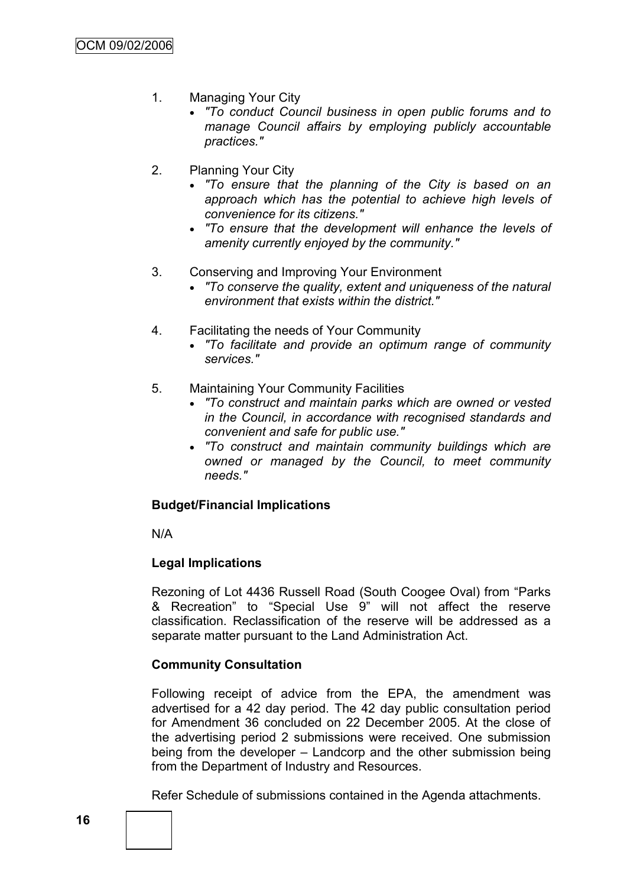- 1. Managing Your City
	- *"To conduct Council business in open public forums and to manage Council affairs by employing publicly accountable practices."*
- 2. Planning Your City
	- *"To ensure that the planning of the City is based on an approach which has the potential to achieve high levels of convenience for its citizens."*
	- *"To ensure that the development will enhance the levels of amenity currently enjoyed by the community."*
- 3. Conserving and Improving Your Environment
	- *"To conserve the quality, extent and uniqueness of the natural environment that exists within the district."*
- 4. Facilitating the needs of Your Community
	- *"To facilitate and provide an optimum range of community services."*
- 5. Maintaining Your Community Facilities
	- *"To construct and maintain parks which are owned or vested in the Council, in accordance with recognised standards and convenient and safe for public use."*
	- *"To construct and maintain community buildings which are owned or managed by the Council, to meet community needs."*

#### **Budget/Financial Implications**

N/A

#### **Legal Implications**

Rezoning of Lot 4436 Russell Road (South Coogee Oval) from "Parks & Recreation" to "Special Use 9" will not affect the reserve classification. Reclassification of the reserve will be addressed as a separate matter pursuant to the Land Administration Act.

#### **Community Consultation**

Following receipt of advice from the EPA, the amendment was advertised for a 42 day period. The 42 day public consultation period for Amendment 36 concluded on 22 December 2005. At the close of the advertising period 2 submissions were received. One submission being from the developer – Landcorp and the other submission being from the Department of Industry and Resources.

Refer Schedule of submissions contained in the Agenda attachments.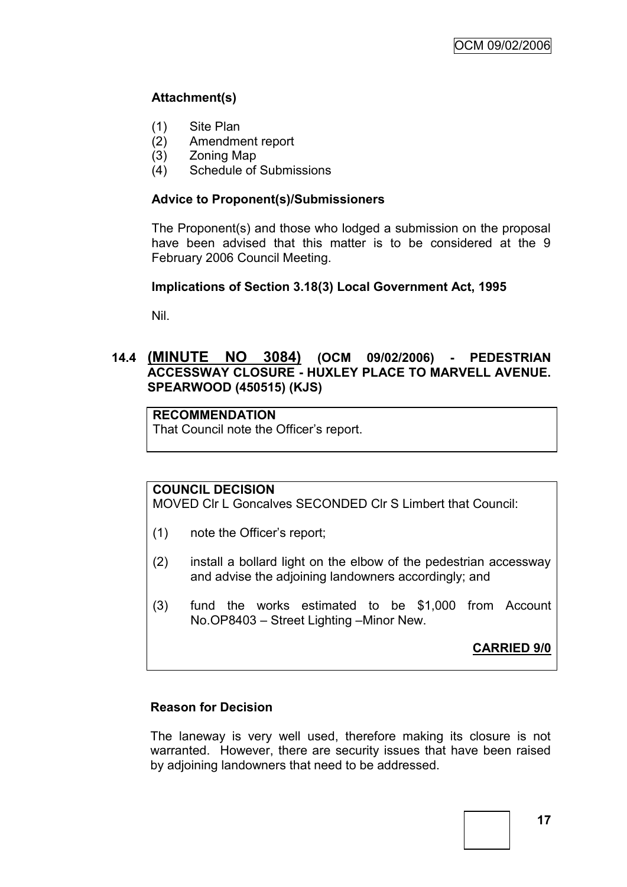# **Attachment(s)**

- (1) Site Plan
- (2) Amendment report
- (3) Zoning Map
- (4) Schedule of Submissions

## **Advice to Proponent(s)/Submissioners**

The Proponent(s) and those who lodged a submission on the proposal have been advised that this matter is to be considered at the 9 February 2006 Council Meeting.

## **Implications of Section 3.18(3) Local Government Act, 1995**

Nil.

# **14.4 (MINUTE NO 3084) (OCM 09/02/2006) - PEDESTRIAN ACCESSWAY CLOSURE - HUXLEY PLACE TO MARVELL AVENUE. SPEARWOOD (450515) (KJS)**

## **RECOMMENDATION**

That Council note the Officer"s report.

## **COUNCIL DECISION**

MOVED Clr L Goncalves SECONDED Clr S Limbert that Council:

- (1) note the Officer"s report;
- (2) install a bollard light on the elbow of the pedestrian accessway and advise the adjoining landowners accordingly; and
- (3) fund the works estimated to be \$1,000 from Account No.OP8403 – Street Lighting –Minor New.

**CARRIED 9/0**

## **Reason for Decision**

The laneway is very well used, therefore making its closure is not warranted. However, there are security issues that have been raised by adjoining landowners that need to be addressed.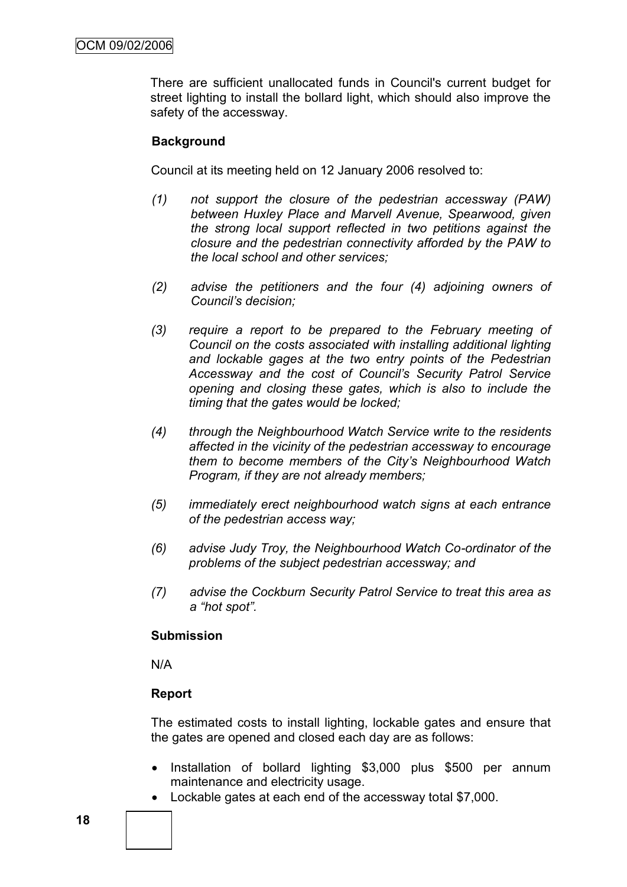There are sufficient unallocated funds in Council's current budget for street lighting to install the bollard light, which should also improve the safety of the accessway.

#### **Background**

Council at its meeting held on 12 January 2006 resolved to:

- *(1) not support the closure of the pedestrian accessway (PAW) between Huxley Place and Marvell Avenue, Spearwood, given the strong local support reflected in two petitions against the closure and the pedestrian connectivity afforded by the PAW to the local school and other services;*
- *(2) advise the petitioners and the four (4) adjoining owners of Council's decision;*
- *(3) require a report to be prepared to the February meeting of Council on the costs associated with installing additional lighting and lockable gages at the two entry points of the Pedestrian Accessway and the cost of Council's Security Patrol Service opening and closing these gates, which is also to include the timing that the gates would be locked;*
- *(4) through the Neighbourhood Watch Service write to the residents affected in the vicinity of the pedestrian accessway to encourage them to become members of the City's Neighbourhood Watch Program, if they are not already members;*
- *(5) immediately erect neighbourhood watch signs at each entrance of the pedestrian access way;*
- *(6) advise Judy Troy, the Neighbourhood Watch Co-ordinator of the problems of the subject pedestrian accessway; and*
- *(7) advise the Cockburn Security Patrol Service to treat this area as a "hot spot".*

#### **Submission**

N/A

#### **Report**

The estimated costs to install lighting, lockable gates and ensure that the gates are opened and closed each day are as follows:

- Installation of bollard lighting \$3,000 plus \$500 per annum maintenance and electricity usage.
- Lockable gates at each end of the accessway total \$7,000.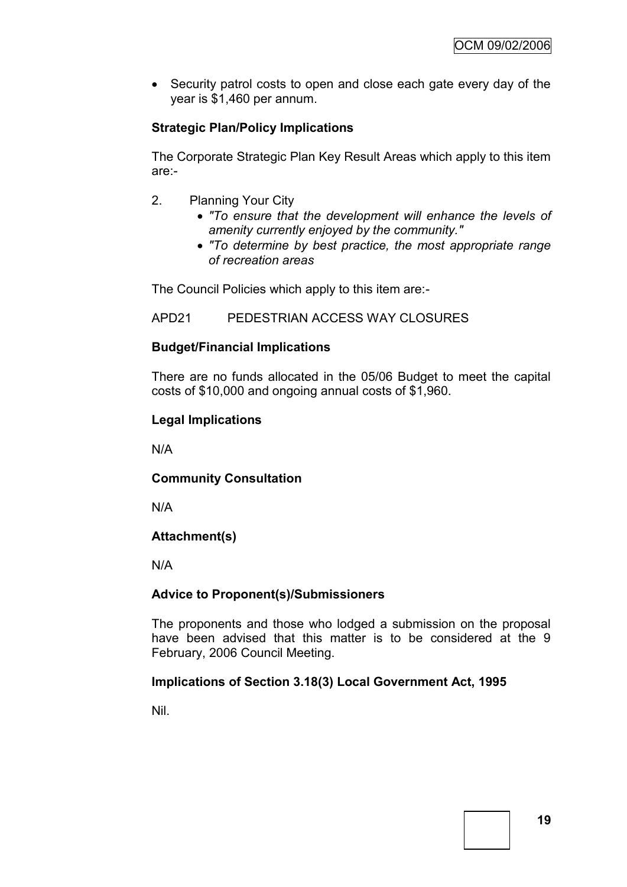• Security patrol costs to open and close each gate every day of the year is \$1,460 per annum.

# **Strategic Plan/Policy Implications**

The Corporate Strategic Plan Key Result Areas which apply to this item are:-

- 2. Planning Your City
	- *"To ensure that the development will enhance the levels of amenity currently enjoyed by the community."*
	- *"To determine by best practice, the most appropriate range of recreation areas*

The Council Policies which apply to this item are:-

## APD21 PEDESTRIAN ACCESS WAY CLOSURES

## **Budget/Financial Implications**

There are no funds allocated in the 05/06 Budget to meet the capital costs of \$10,000 and ongoing annual costs of \$1,960.

#### **Legal Implications**

N/A

## **Community Consultation**

N/A

## **Attachment(s)**

N/A

## **Advice to Proponent(s)/Submissioners**

The proponents and those who lodged a submission on the proposal have been advised that this matter is to be considered at the 9 February, 2006 Council Meeting.

## **Implications of Section 3.18(3) Local Government Act, 1995**

Nil.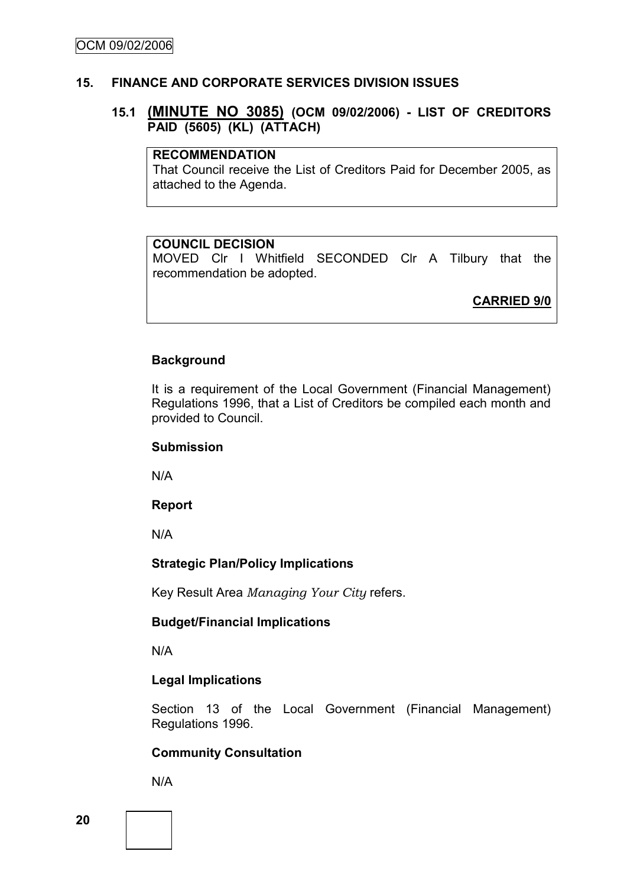#### **15. FINANCE AND CORPORATE SERVICES DIVISION ISSUES**

## **15.1 (MINUTE NO 3085) (OCM 09/02/2006) - LIST OF CREDITORS PAID (5605) (KL) (ATTACH)**

#### **RECOMMENDATION**

That Council receive the List of Creditors Paid for December 2005, as attached to the Agenda.

#### **COUNCIL DECISION**

MOVED Clr I Whitfield SECONDED Clr A Tilbury that the recommendation be adopted.

**CARRIED 9/0**

#### **Background**

It is a requirement of the Local Government (Financial Management) Regulations 1996, that a List of Creditors be compiled each month and provided to Council.

#### **Submission**

N/A

#### **Report**

N/A

## **Strategic Plan/Policy Implications**

Key Result Area *Managing Your City* refers.

#### **Budget/Financial Implications**

N/A

## **Legal Implications**

Section 13 of the Local Government (Financial Management) Regulations 1996.

## **Community Consultation**

N/A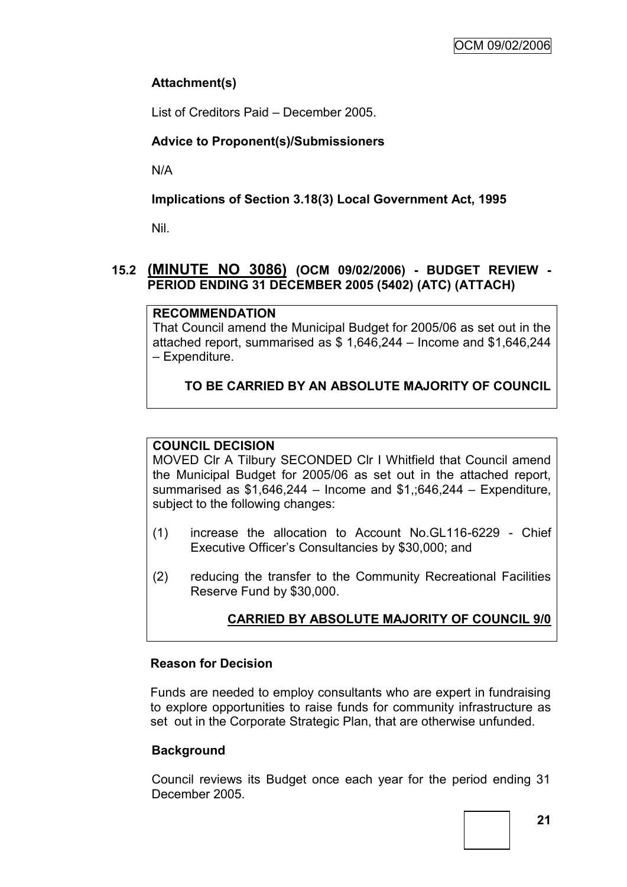# **Attachment(s)**

List of Creditors Paid – December 2005.

# **Advice to Proponent(s)/Submissioners**

N/A

# **Implications of Section 3.18(3) Local Government Act, 1995**

Nil.

# **15.2 (MINUTE NO 3086) (OCM 09/02/2006) - BUDGET REVIEW - PERIOD ENDING 31 DECEMBER 2005 (5402) (ATC) (ATTACH)**

## **RECOMMENDATION**

That Council amend the Municipal Budget for 2005/06 as set out in the attached report, summarised as \$ 1,646,244 – Income and \$1,646,244 – Expenditure.

# **TO BE CARRIED BY AN ABSOLUTE MAJORITY OF COUNCIL**

# **COUNCIL DECISION**

MOVED Clr A Tilbury SECONDED Clr I Whitfield that Council amend the Municipal Budget for 2005/06 as set out in the attached report, summarised as  $$1,646,244 -$  Income and  $$1,646,244 -$  Expenditure, subject to the following changes:

- (1) increase the allocation to Account No.GL116-6229 Chief Executive Officer"s Consultancies by \$30,000; and
- (2) reducing the transfer to the Community Recreational Facilities Reserve Fund by \$30,000.

# **CARRIED BY ABSOLUTE MAJORITY OF COUNCIL 9/0**

## **Reason for Decision**

Funds are needed to employ consultants who are expert in fundraising to explore opportunities to raise funds for community infrastructure as set out in the Corporate Strategic Plan, that are otherwise unfunded.

# **Background**

Council reviews its Budget once each year for the period ending 31 December 2005.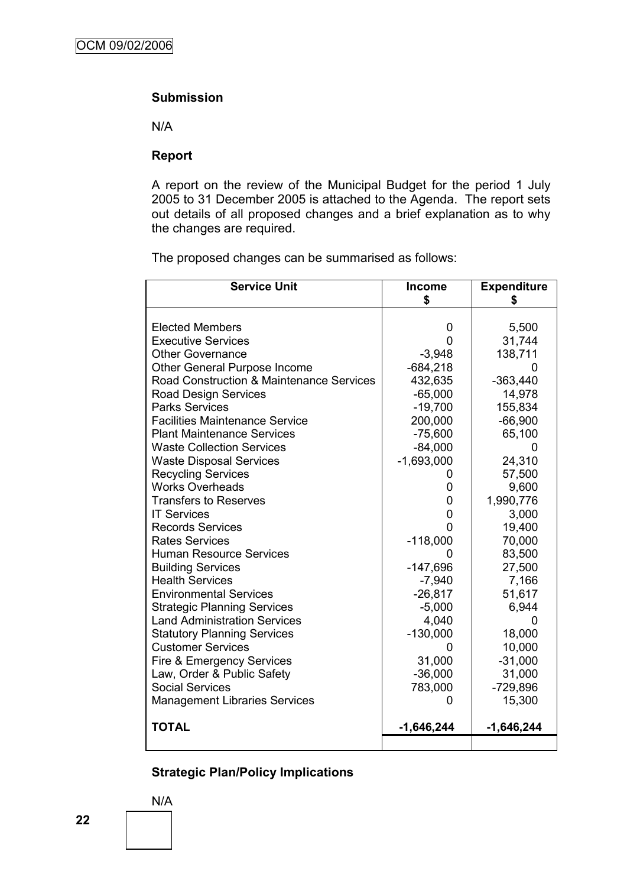## **Submission**

N/A

## **Report**

A report on the review of the Municipal Budget for the period 1 July 2005 to 31 December 2005 is attached to the Agenda. The report sets out details of all proposed changes and a brief explanation as to why the changes are required.

The proposed changes can be summarised as follows:

| <b>Service Unit</b>                      | <b>Income</b><br>\$ | <b>Expenditure</b><br>\$ |
|------------------------------------------|---------------------|--------------------------|
|                                          |                     |                          |
| <b>Elected Members</b>                   | 0                   | 5,500                    |
| <b>Executive Services</b>                | 0                   | 31,744                   |
| <b>Other Governance</b>                  | $-3,948$            | 138,711                  |
| Other General Purpose Income             | $-684,218$          |                          |
| Road Construction & Maintenance Services | 432,635             | $-363,440$               |
| Road Design Services                     | $-65,000$           | 14,978                   |
| <b>Parks Services</b>                    | $-19,700$           | 155,834                  |
| <b>Facilities Maintenance Service</b>    | 200,000             | $-66,900$                |
| <b>Plant Maintenance Services</b>        | $-75,600$           | 65,100                   |
| <b>Waste Collection Services</b>         | $-84,000$           | 0                        |
| <b>Waste Disposal Services</b>           | $-1,693,000$        | 24,310                   |
| <b>Recycling Services</b>                | O                   | 57,500                   |
| <b>Works Overheads</b>                   | 0                   | 9,600                    |
| <b>Transfers to Reserves</b>             | 0                   | 1,990,776                |
| <b>IT Services</b>                       | 0                   | 3,000                    |
| <b>Records Services</b>                  | 0                   | 19,400                   |
| <b>Rates Services</b>                    | $-118,000$          | 70,000                   |
| <b>Human Resource Services</b>           | 0                   | 83,500                   |
| <b>Building Services</b>                 | -147,696            | 27,500                   |
| <b>Health Services</b>                   | $-7,940$            | 7,166                    |
| <b>Environmental Services</b>            | $-26,817$           | 51,617                   |
| <b>Strategic Planning Services</b>       | $-5,000$            | 6,944                    |
| <b>Land Administration Services</b>      | 4,040               | n                        |
| <b>Statutory Planning Services</b>       | $-130,000$          | 18,000                   |
| <b>Customer Services</b>                 | O                   | 10,000                   |
| Fire & Emergency Services                | 31,000              | $-31,000$                |
| Law, Order & Public Safety               | $-36,000$           | 31,000                   |
| <b>Social Services</b>                   | 783,000             | $-729,896$               |
| <b>Management Libraries Services</b>     |                     | 15,300                   |
| <b>TOTAL</b>                             | $-1,646,244$        | $-1,646,244$             |
|                                          |                     |                          |

# **Strategic Plan/Policy Implications**

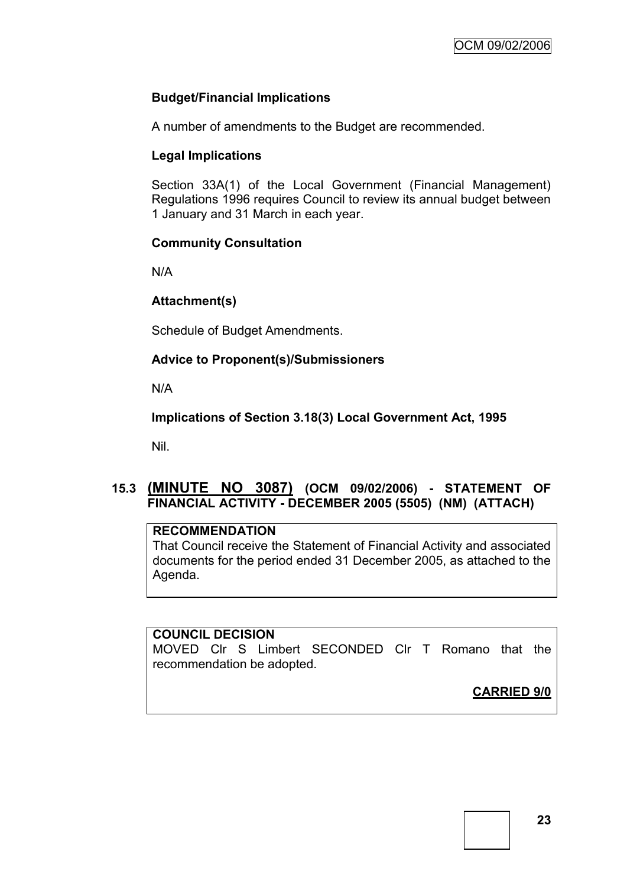# **Budget/Financial Implications**

A number of amendments to the Budget are recommended.

## **Legal Implications**

Section 33A(1) of the Local Government (Financial Management) Regulations 1996 requires Council to review its annual budget between 1 January and 31 March in each year.

## **Community Consultation**

N/A

## **Attachment(s)**

Schedule of Budget Amendments.

## **Advice to Proponent(s)/Submissioners**

N/A

**Implications of Section 3.18(3) Local Government Act, 1995**

Nil.

# **15.3 (MINUTE NO 3087) (OCM 09/02/2006) - STATEMENT OF FINANCIAL ACTIVITY - DECEMBER 2005 (5505) (NM) (ATTACH)**

## **RECOMMENDATION**

That Council receive the Statement of Financial Activity and associated documents for the period ended 31 December 2005, as attached to the Agenda.

## **COUNCIL DECISION**

MOVED Clr S Limbert SECONDED Clr T Romano that the recommendation be adopted.

**CARRIED 9/0**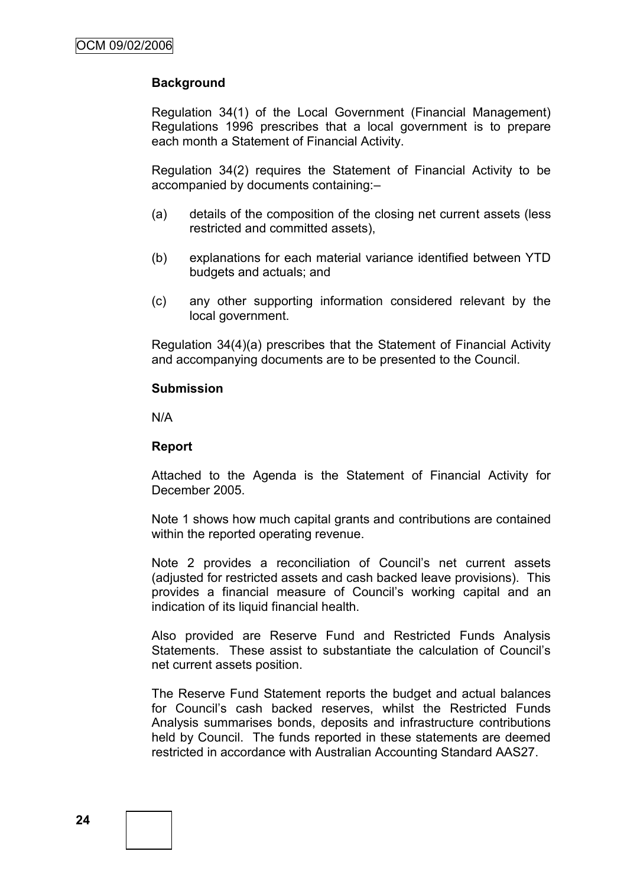# **Background**

Regulation 34(1) of the Local Government (Financial Management) Regulations 1996 prescribes that a local government is to prepare each month a Statement of Financial Activity.

Regulation 34(2) requires the Statement of Financial Activity to be accompanied by documents containing:–

- (a) details of the composition of the closing net current assets (less restricted and committed assets),
- (b) explanations for each material variance identified between YTD budgets and actuals; and
- (c) any other supporting information considered relevant by the local government.

Regulation 34(4)(a) prescribes that the Statement of Financial Activity and accompanying documents are to be presented to the Council.

#### **Submission**

N/A

#### **Report**

Attached to the Agenda is the Statement of Financial Activity for December 2005.

Note 1 shows how much capital grants and contributions are contained within the reported operating revenue.

Note 2 provides a reconciliation of Council's net current assets (adjusted for restricted assets and cash backed leave provisions). This provides a financial measure of Council"s working capital and an indication of its liquid financial health.

Also provided are Reserve Fund and Restricted Funds Analysis Statements. These assist to substantiate the calculation of Council"s net current assets position.

The Reserve Fund Statement reports the budget and actual balances for Council"s cash backed reserves, whilst the Restricted Funds Analysis summarises bonds, deposits and infrastructure contributions held by Council. The funds reported in these statements are deemed restricted in accordance with Australian Accounting Standard AAS27.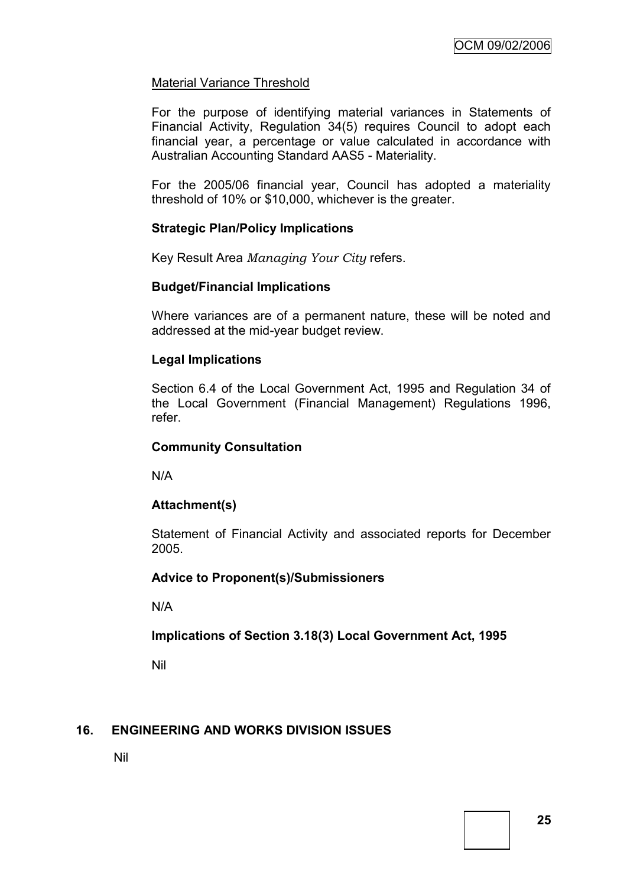### Material Variance Threshold

For the purpose of identifying material variances in Statements of Financial Activity, Regulation 34(5) requires Council to adopt each financial year, a percentage or value calculated in accordance with Australian Accounting Standard AAS5 - Materiality.

For the 2005/06 financial year, Council has adopted a materiality threshold of 10% or \$10,000, whichever is the greater.

#### **Strategic Plan/Policy Implications**

Key Result Area *Managing Your City* refers.

#### **Budget/Financial Implications**

Where variances are of a permanent nature, these will be noted and addressed at the mid-year budget review.

#### **Legal Implications**

Section 6.4 of the Local Government Act, 1995 and Regulation 34 of the Local Government (Financial Management) Regulations 1996, refer.

#### **Community Consultation**

N/A

## **Attachment(s)**

Statement of Financial Activity and associated reports for December 2005.

#### **Advice to Proponent(s)/Submissioners**

N/A

## **Implications of Section 3.18(3) Local Government Act, 1995**

Nil

## **16. ENGINEERING AND WORKS DIVISION ISSUES**

Nil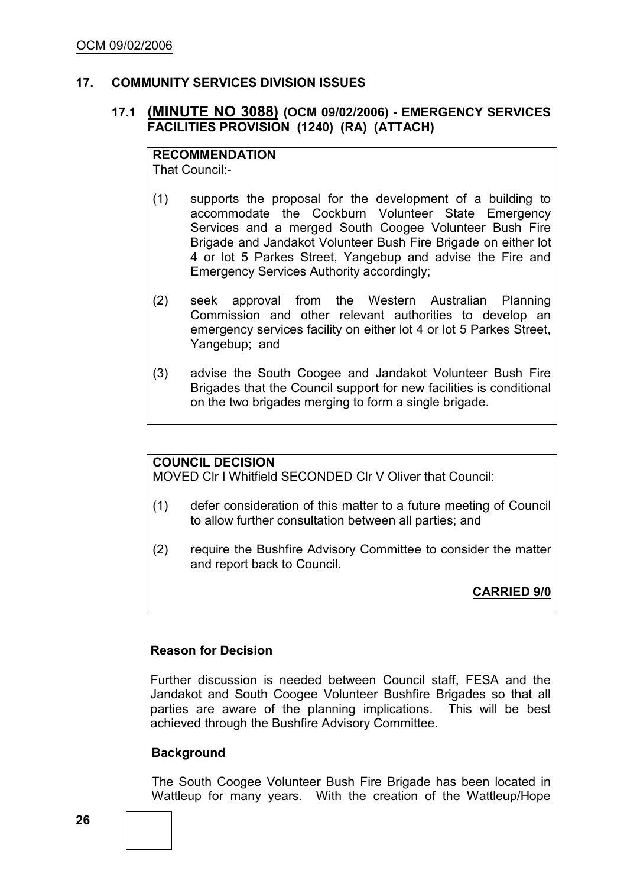#### **17. COMMUNITY SERVICES DIVISION ISSUES**

## **17.1 (MINUTE NO 3088) (OCM 09/02/2006) - EMERGENCY SERVICES FACILITIES PROVISION (1240) (RA) (ATTACH)**

# **RECOMMENDATION**

That Council:-

- (1) supports the proposal for the development of a building to accommodate the Cockburn Volunteer State Emergency Services and a merged South Coogee Volunteer Bush Fire Brigade and Jandakot Volunteer Bush Fire Brigade on either lot 4 or lot 5 Parkes Street, Yangebup and advise the Fire and Emergency Services Authority accordingly;
- (2) seek approval from the Western Australian Planning Commission and other relevant authorities to develop an emergency services facility on either lot 4 or lot 5 Parkes Street, Yangebup; and
- (3) advise the South Coogee and Jandakot Volunteer Bush Fire Brigades that the Council support for new facilities is conditional on the two brigades merging to form a single brigade.

## **COUNCIL DECISION**

MOVED Clr I Whitfield SECONDED Clr V Oliver that Council:

- (1) defer consideration of this matter to a future meeting of Council to allow further consultation between all parties; and
- (2) require the Bushfire Advisory Committee to consider the matter and report back to Council.

# **CARRIED 9/0**

## **Reason for Decision**

Further discussion is needed between Council staff, FESA and the Jandakot and South Coogee Volunteer Bushfire Brigades so that all parties are aware of the planning implications. This will be best achieved through the Bushfire Advisory Committee.

## **Background**

The South Coogee Volunteer Bush Fire Brigade has been located in Wattleup for many years. With the creation of the Wattleup/Hope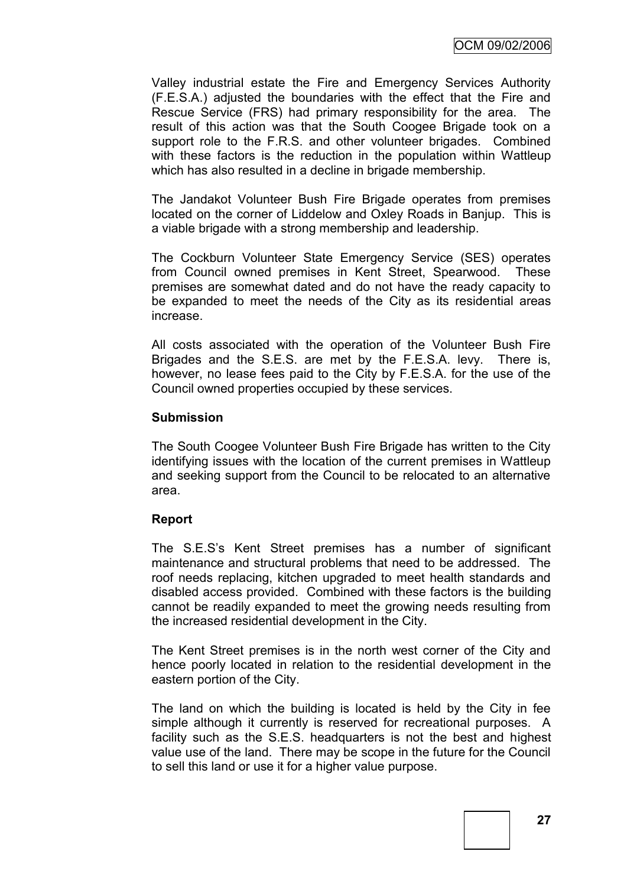Valley industrial estate the Fire and Emergency Services Authority (F.E.S.A.) adjusted the boundaries with the effect that the Fire and Rescue Service (FRS) had primary responsibility for the area. The result of this action was that the South Coogee Brigade took on a support role to the F.R.S. and other volunteer brigades. Combined with these factors is the reduction in the population within Wattleup which has also resulted in a decline in brigade membership.

The Jandakot Volunteer Bush Fire Brigade operates from premises located on the corner of Liddelow and Oxley Roads in Banjup. This is a viable brigade with a strong membership and leadership.

The Cockburn Volunteer State Emergency Service (SES) operates from Council owned premises in Kent Street, Spearwood. These premises are somewhat dated and do not have the ready capacity to be expanded to meet the needs of the City as its residential areas increase.

All costs associated with the operation of the Volunteer Bush Fire Brigades and the S.E.S. are met by the F.E.S.A. levy. There is, however, no lease fees paid to the City by F.E.S.A. for the use of the Council owned properties occupied by these services.

#### **Submission**

The South Coogee Volunteer Bush Fire Brigade has written to the City identifying issues with the location of the current premises in Wattleup and seeking support from the Council to be relocated to an alternative area.

## **Report**

The S.E.S"s Kent Street premises has a number of significant maintenance and structural problems that need to be addressed. The roof needs replacing, kitchen upgraded to meet health standards and disabled access provided. Combined with these factors is the building cannot be readily expanded to meet the growing needs resulting from the increased residential development in the City.

The Kent Street premises is in the north west corner of the City and hence poorly located in relation to the residential development in the eastern portion of the City.

The land on which the building is located is held by the City in fee simple although it currently is reserved for recreational purposes. A facility such as the S.E.S. headquarters is not the best and highest value use of the land. There may be scope in the future for the Council to sell this land or use it for a higher value purpose.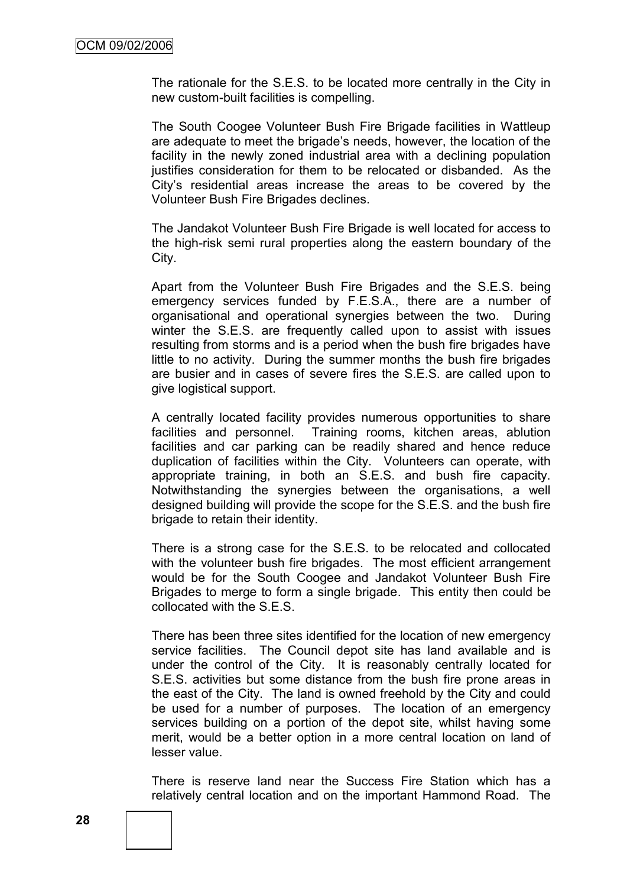The rationale for the S.E.S. to be located more centrally in the City in new custom-built facilities is compelling.

The South Coogee Volunteer Bush Fire Brigade facilities in Wattleup are adequate to meet the brigade"s needs, however, the location of the facility in the newly zoned industrial area with a declining population justifies consideration for them to be relocated or disbanded. As the City"s residential areas increase the areas to be covered by the Volunteer Bush Fire Brigades declines.

The Jandakot Volunteer Bush Fire Brigade is well located for access to the high-risk semi rural properties along the eastern boundary of the City.

Apart from the Volunteer Bush Fire Brigades and the S.E.S. being emergency services funded by F.E.S.A., there are a number of organisational and operational synergies between the two. During winter the S.E.S. are frequently called upon to assist with issues resulting from storms and is a period when the bush fire brigades have little to no activity. During the summer months the bush fire brigades are busier and in cases of severe fires the S.E.S. are called upon to give logistical support.

A centrally located facility provides numerous opportunities to share facilities and personnel. Training rooms, kitchen areas, ablution facilities and car parking can be readily shared and hence reduce duplication of facilities within the City. Volunteers can operate, with appropriate training, in both an S.E.S. and bush fire capacity. Notwithstanding the synergies between the organisations, a well designed building will provide the scope for the S.E.S. and the bush fire brigade to retain their identity.

There is a strong case for the S.E.S. to be relocated and collocated with the volunteer bush fire brigades. The most efficient arrangement would be for the South Coogee and Jandakot Volunteer Bush Fire Brigades to merge to form a single brigade. This entity then could be collocated with the S.E.S.

There has been three sites identified for the location of new emergency service facilities. The Council depot site has land available and is under the control of the City. It is reasonably centrally located for S.E.S. activities but some distance from the bush fire prone areas in the east of the City. The land is owned freehold by the City and could be used for a number of purposes. The location of an emergency services building on a portion of the depot site, whilst having some merit, would be a better option in a more central location on land of lesser value.

There is reserve land near the Success Fire Station which has a relatively central location and on the important Hammond Road. The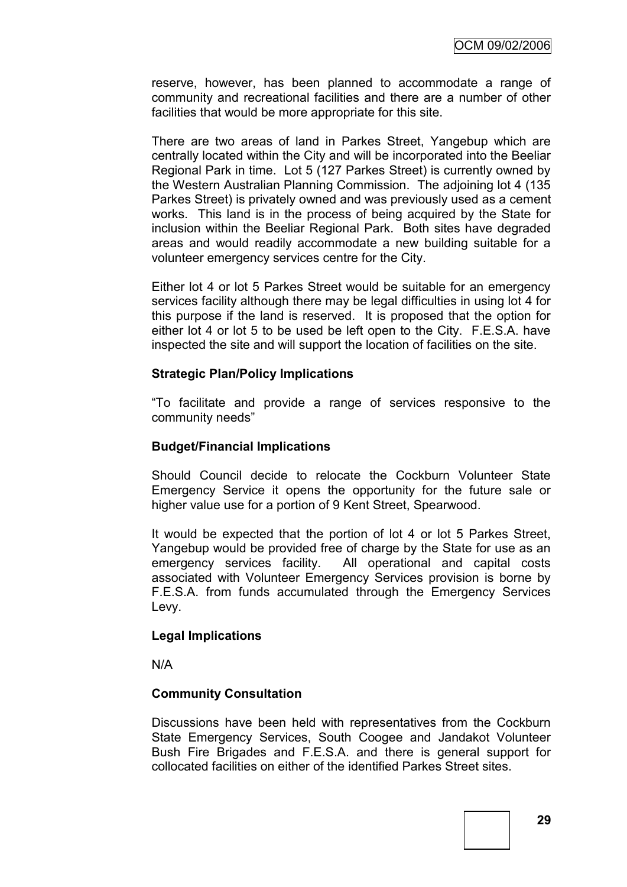reserve, however, has been planned to accommodate a range of community and recreational facilities and there are a number of other facilities that would be more appropriate for this site.

There are two areas of land in Parkes Street, Yangebup which are centrally located within the City and will be incorporated into the Beeliar Regional Park in time. Lot 5 (127 Parkes Street) is currently owned by the Western Australian Planning Commission. The adjoining lot 4 (135 Parkes Street) is privately owned and was previously used as a cement works. This land is in the process of being acquired by the State for inclusion within the Beeliar Regional Park. Both sites have degraded areas and would readily accommodate a new building suitable for a volunteer emergency services centre for the City.

Either lot 4 or lot 5 Parkes Street would be suitable for an emergency services facility although there may be legal difficulties in using lot 4 for this purpose if the land is reserved. It is proposed that the option for either lot 4 or lot 5 to be used be left open to the City. F.E.S.A. have inspected the site and will support the location of facilities on the site.

## **Strategic Plan/Policy Implications**

"To facilitate and provide a range of services responsive to the community needs"

## **Budget/Financial Implications**

Should Council decide to relocate the Cockburn Volunteer State Emergency Service it opens the opportunity for the future sale or higher value use for a portion of 9 Kent Street, Spearwood.

It would be expected that the portion of lot 4 or lot 5 Parkes Street, Yangebup would be provided free of charge by the State for use as an emergency services facility. All operational and capital costs associated with Volunteer Emergency Services provision is borne by F.E.S.A. from funds accumulated through the Emergency Services Levy.

## **Legal Implications**

N/A

## **Community Consultation**

Discussions have been held with representatives from the Cockburn State Emergency Services, South Coogee and Jandakot Volunteer Bush Fire Brigades and F.E.S.A. and there is general support for collocated facilities on either of the identified Parkes Street sites.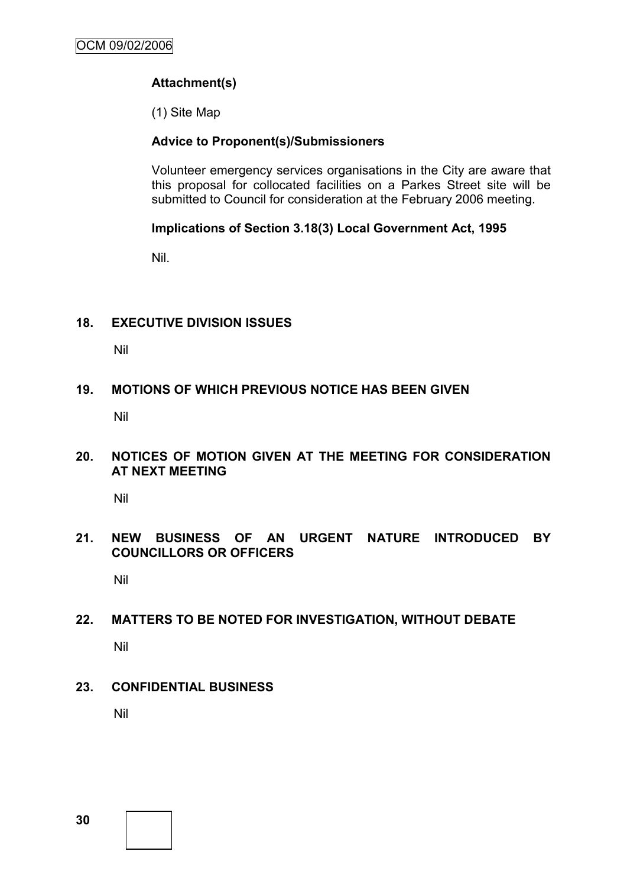# **Attachment(s)**

(1) Site Map

## **Advice to Proponent(s)/Submissioners**

Volunteer emergency services organisations in the City are aware that this proposal for collocated facilities on a Parkes Street site will be submitted to Council for consideration at the February 2006 meeting.

## **Implications of Section 3.18(3) Local Government Act, 1995**

Nil.

## **18. EXECUTIVE DIVISION ISSUES**

Nil

## **19. MOTIONS OF WHICH PREVIOUS NOTICE HAS BEEN GIVEN**

Nil

## **20. NOTICES OF MOTION GIVEN AT THE MEETING FOR CONSIDERATION AT NEXT MEETING**

Nil

## **21. NEW BUSINESS OF AN URGENT NATURE INTRODUCED BY COUNCILLORS OR OFFICERS**

Nil

# **22. MATTERS TO BE NOTED FOR INVESTIGATION, WITHOUT DEBATE**

Nil

# **23. CONFIDENTIAL BUSINESS**

Nil

**30**